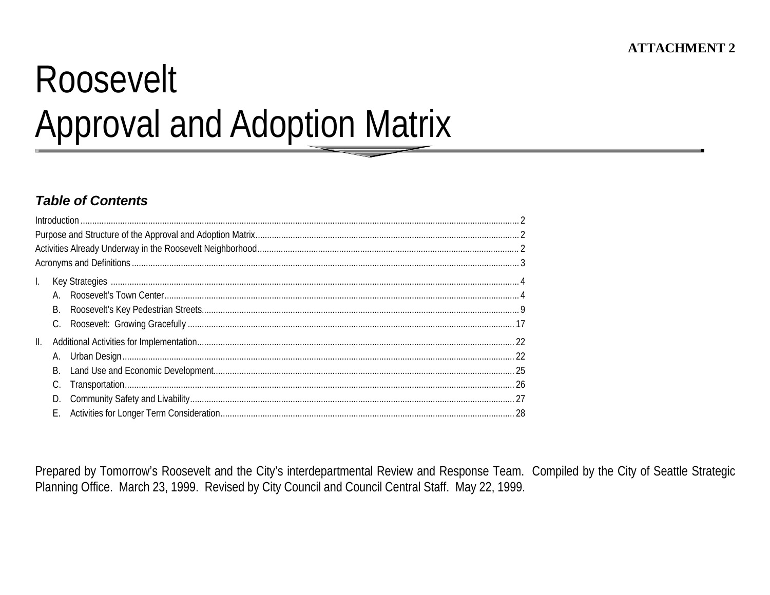# Roosevelt **Approval and Adoption Matrix**

## **Table of Contents**

| $\mathbf{L}$ |    |  |
|--------------|----|--|
|              |    |  |
|              |    |  |
|              |    |  |
| Ш.           |    |  |
|              |    |  |
|              |    |  |
|              |    |  |
|              |    |  |
|              | Е. |  |

Prepared by Tomorrow's Roosevelt and the City's interdepartmental Review and Response Team. Compiled by the City of Seattle Strategic Planning Office. March 23, 1999. Revised by City Council and Council Central Staff. May 22, 1999.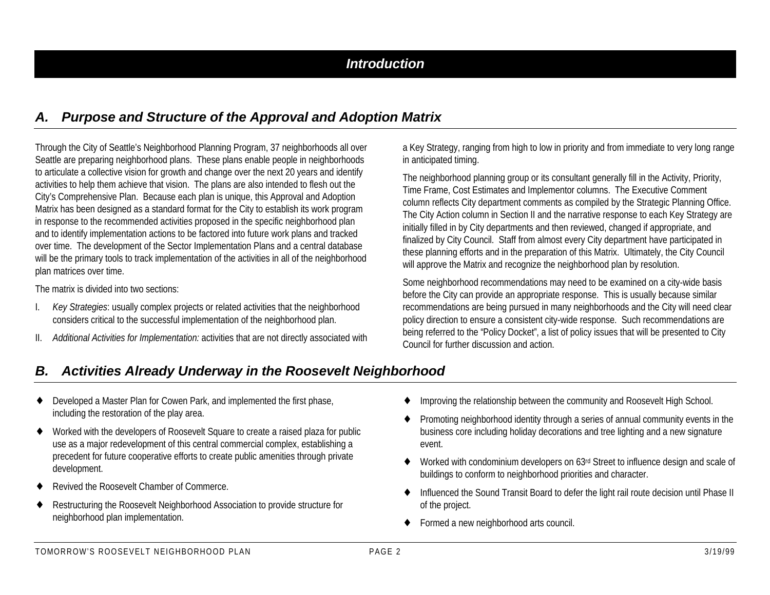#### *A. Purpose and Structure of the Approval and Adoption Matrix*

Through the City of Seattle's Neighborhood Planning Program, 37 neighborhoods all over Seattle are preparing neighborhood plans. These plans enable people in neighborhoods to articulate a collective vision for growth and change over the next 20 years and identify activities to help them achieve that vision. The plans are also intended to flesh out the City's Comprehensive Plan. Because each plan is unique, this Approval and Adoption Matrix has been designed as a standard format for the City to establish its work program in response to the recommended activities proposed in the specific neighborhood plan and to identify implementation actions to be factored into future work plans and tracked over time. The development of the Sector Implementation Plans and a central database will be the primary tools to track implementation of the activities in all of the neighborhood plan matrices over time.

The matrix is divided into two sections:

- I. *Key Strategies*: usually complex projects or related activities that the neighborhood considers critical to the successful implementation of the neighborhood plan.
- II. *Additional Activities for Implementation:* activities that are not directly associated with

a Key Strategy, ranging from high to low in priority and from immediate to very long range in anticipated timing.

The neighborhood planning group or its consultant generally fill in the Activity, Priority, Time Frame, Cost Estimates and Implementor columns. The Executive Comment column reflects City department comments as compiled by the Strategic Planning Office. The City Action column in Section II and the narrative response to each Key Strategy are initially filled in by City departments and then reviewed, changed if appropriate, and finalized by City Council. Staff from almost every City department have participated in these planning efforts and in the preparation of this Matrix. Ultimately, the City Council will approve the Matrix and recognize the neighborhood plan by resolution.

Some neighborhood recommendations may need to be examined on a city-wide basis before the City can provide an appropriate response. This is usually because similar recommendations are being pursued in many neighborhoods and the City will need clear policy direction to ensure a consistent city-wide response. Such recommendations are being referred to the "Policy Docket", a list of policy issues that will be presented to City Council for further discussion and action.

## *B. Activities Already Underway in the Roosevelt Neighborhood*

- ♦ Developed a Master Plan for Cowen Park, and implemented the first phase, including the restoration of the play area.
- ♦ Worked with the developers of Roosevelt Square to create a raised plaza for public use as a major redevelopment of this central commercial complex, establishing a precedent for future cooperative efforts to create public amenities through private development.
- ♦ Revived the Roosevelt Chamber of Commerce.
- ♦ Restructuring the Roosevelt Neighborhood Association to provide structure for neighborhood plan implementation.
- Improving the relationship between the community and Roosevelt High School.
- ♦ Promoting neighborhood identity through a series of annual community events in the business core including holiday decorations and tree lighting and a new signature event.
- Worked with condominium developers on 63rd Street to influence design and scale of buildings to conform to neighborhood priorities and character.
- Influenced the Sound Transit Board to defer the light rail route decision until Phase II of the project.
- Formed a new neighborhood arts council.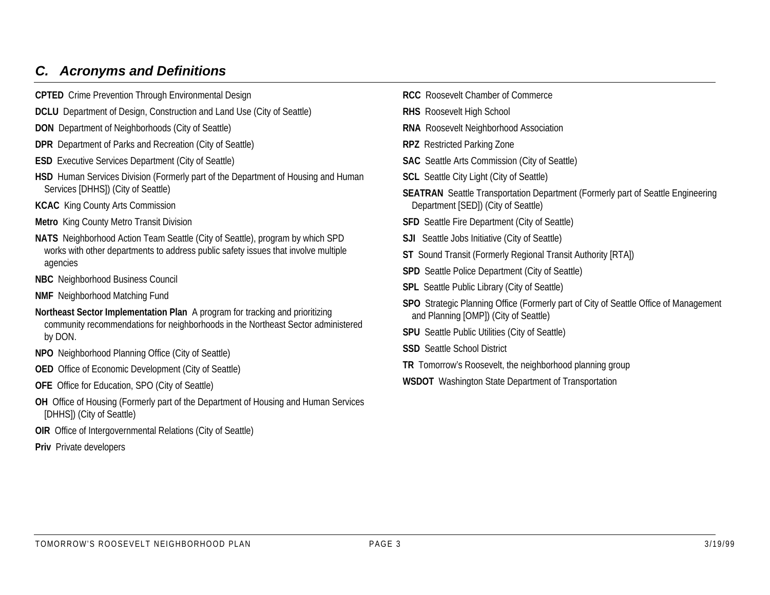## *C. Acronyms and Definitions*

- **CPTED** Crime Prevention Through Environmental Design
- **DCLU** Department of Design, Construction and Land Use (City of Seattle)
- **DON** Department of Neighborhoods (City of Seattle)
- **DPR** Department of Parks and Recreation (City of Seattle)
- **ESD** Executive Services Department (City of Seattle)
- **HSD** Human Services Division (Formerly part of the Department of Housing and Human Services [DHHS]) (City of Seattle)
- **KCAC** King County Arts Commission
- **Metro** King County Metro Transit Division
- **NATS** Neighborhood Action Team Seattle (City of Seattle), program by which SPD works with other departments to address public safety issues that involve multiple agencies
- **NBC** Neighborhood Business Council
- **NMF** Neighborhood Matching Fund
- **Northeast Sector Implementation Plan** A program for tracking and prioritizing community recommendations for neighborhoods in the Northeast Sector administered by DON.
- **NPO** Neighborhood Planning Office (City of Seattle)
- **OED** Office of Economic Development (City of Seattle)
- **OFE** Office for Education, SPO (City of Seattle)
- **OH** Office of Housing (Formerly part of the Department of Housing and Human Services [DHHS]) (City of Seattle)
- **OIR** Office of Intergovernmental Relations (City of Seattle)
- **Priv** Private developers

**RCC** Roosevelt Chamber of Commerce **RHS** Roosevelt High School **RNA** Roosevelt Neighborhood Association **RPZ** Restricted Parking Zone **SAC** Seattle Arts Commission (City of Seattle) **SCL** Seattle City Light (City of Seattle) **SEATRAN** Seattle Transportation Department (Formerly part of Seattle Engineering Department [SED]) (City of Seattle) **SFD** Seattle Fire Department (City of Seattle) **SJI** Seattle Jobs Initiative (City of Seattle) **ST** Sound Transit (Formerly Regional Transit Authority [RTA]) **SPD** Seattle Police Department (City of Seattle) **SPL** Seattle Public Library (City of Seattle) **SPO** Strategic Planning Office (Formerly part of City of Seattle Office of Management and Planning [OMP]) (City of Seattle) **SPU** Seattle Public Utilities (City of Seattle) **SSD** Seattle School District **TR** Tomorrow's Roosevelt, the neighborhood planning group **WSDOT** Washington State Department of Transportation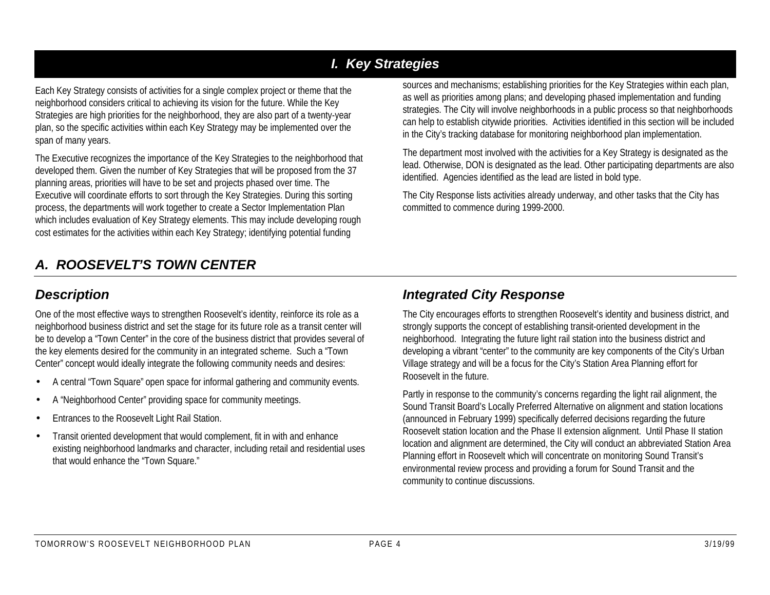# *I. Key Strategies*

Each Key Strategy consists of activities for a single complex project or theme that the neighborhood considers critical to achieving its vision for the future. While the Key Strategies are high priorities for the neighborhood, they are also part of a twenty-year plan, so the specific activities within each Key Strategy may be implemented over the span of many years.

The Executive recognizes the importance of the Key Strategies to the neighborhood that developed them. Given the number of Key Strategies that will be proposed from the 37 planning areas, priorities will have to be set and projects phased over time. The Executive will coordinate efforts to sort through the Key Strategies. During this sorting process, the departments will work together to create a Sector Implementation Plan which includes evaluation of Key Strategy elements. This may include developing rough cost estimates for the activities within each Key Strategy; identifying potential funding

sources and mechanisms; establishing priorities for the Key Strategies within each plan, as well as priorities among plans; and developing phased implementation and funding strategies. The City will involve neighborhoods in a public process so that neighborhoods can help to establish citywide priorities. Activities identified in this section will be included in the City's tracking database for monitoring neighborhood plan implementation.

The department most involved with the activities for a Key Strategy is designated as the lead. Otherwise, DON is designated as the lead. Other participating departments are also identified. Agencies identified as the lead are listed in bold type.

The City Response lists activities already underway, and other tasks that the City has committed to commence during 1999-2000.

# *A. ROOSEVELT'S TOWN CENTER*

## *Description*

One of the most effective ways to strengthen Roosevelt's identity, reinforce its role as a neighborhood business district and set the stage for its future role as a transit center will be to develop a "Town Center" in the core of the business district that provides several of the key elements desired for the community in an integrated scheme. Such a "Town Center" concept would ideally integrate the following community needs and desires:

- A central "Town Square" open space for informal gathering and community events.
- A "Neighborhood Center" providing space for community meetings.
- Entrances to the Roosevelt Light Rail Station.
- Transit oriented development that would complement, fit in with and enhance existing neighborhood landmarks and character, including retail and residential uses that would enhance the "Town Square."

## *Integrated City Response*

The City encourages efforts to strengthen Roosevelt's identity and business district, and strongly supports the concept of establishing transit-oriented development in the neighborhood. Integrating the future light rail station into the business district and developing a vibrant "center" to the community are key components of the City's Urban Village strategy and will be a focus for the City's Station Area Planning effort for Roosevelt in the future.

Partly in response to the community's concerns regarding the light rail alignment, the Sound Transit Board's Locally Preferred Alternative on alignment and station locations (announced in February 1999) specifically deferred decisions regarding the future Roosevelt station location and the Phase II extension alignment. Until Phase II station location and alignment are determined, the City will conduct an abbreviated Station Area Planning effort in Roosevelt which will concentrate on monitoring Sound Transit's environmental review process and providing a forum for Sound Transit and the community to continue discussions.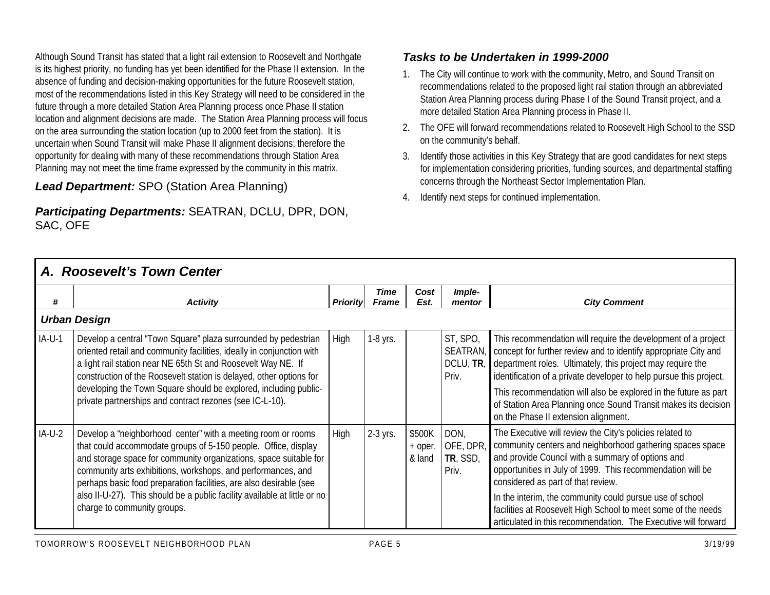Although Sound Transit has stated that a light rail extension to Roosevelt and Northgate is its highest priority, no funding has yet been identified for the Phase II extension. In the absence of funding and decision-making opportunities for the future Roosevelt station, most of the recommendations listed in this Key Strategy will need to be considered in the future through a more detailed Station Area Planning process once Phase II station location and alignment decisions are made. The Station Area Planning process will focus on the area surrounding the station location (up to 2000 feet from the station). It is uncertain when Sound Transit will make Phase II alignment decisions; therefore the opportunity for dealing with many of these recommendations through Station Area Planning may not meet the time frame expressed by the community in this matrix.

#### *Lead Department:* SPO (Station Area Planning)

#### *Participating Departments:* SEATRAN, DCLU, DPR, DON, SAC, OFE

#### *Tasks to be Undertaken in 1999-2000*

- 1. The City will continue to work with the community, Metro, and Sound Transit on recommendations related to the proposed light rail station through an abbreviated Station Area Planning process during Phase I of the Sound Transit project, and a more detailed Station Area Planning process in Phase II.
- 2. The OFE will forward recommendations related to Roosevelt High School to the SSD on the community's behalf.
- 3. Identify those activities in this Key Strategy that are good candidates for next steps for implementation considering priorities, funding sources, and departmental staffing concerns through the Northeast Sector Implementation Plan.
- 4. Identify next steps for continued implementation.

|          | A. Roosevelt's Town Center                                                                                                                                                                                                                                                                                                                                                                                                                            |                 |                      |                             |                                            |                                                                                                                                                                                                                                                                                                                                                                                                                                                                               |
|----------|-------------------------------------------------------------------------------------------------------------------------------------------------------------------------------------------------------------------------------------------------------------------------------------------------------------------------------------------------------------------------------------------------------------------------------------------------------|-----------------|----------------------|-----------------------------|--------------------------------------------|-------------------------------------------------------------------------------------------------------------------------------------------------------------------------------------------------------------------------------------------------------------------------------------------------------------------------------------------------------------------------------------------------------------------------------------------------------------------------------|
| #        | <b>Activity</b>                                                                                                                                                                                                                                                                                                                                                                                                                                       | <b>Priority</b> | Time<br><b>Frame</b> | Cost<br>Est.                | Imple-<br>mentor                           | <b>City Comment</b>                                                                                                                                                                                                                                                                                                                                                                                                                                                           |
|          | <b>Urban Design</b>                                                                                                                                                                                                                                                                                                                                                                                                                                   |                 |                      |                             |                                            |                                                                                                                                                                                                                                                                                                                                                                                                                                                                               |
| $IA-U-1$ | Develop a central "Town Square" plaza surrounded by pedestrian<br>oriented retail and community facilities, ideally in conjunction with<br>a light rail station near NE 65th St and Roosevelt Way NE. If<br>construction of the Roosevelt station is delayed, other options for<br>developing the Town Square should be explored, including public-<br>private partnerships and contract rezones (see IC-L-10).                                       | High            | 1-8 yrs.             |                             | ST, SPO,<br>SEATRAN,<br>DCLU, TR,<br>Priv. | This recommendation will require the development of a project<br>concept for further review and to identify appropriate City and<br>department roles. Ultimately, this project may require the<br>identification of a private developer to help pursue this project.<br>This recommendation will also be explored in the future as part<br>of Station Area Planning once Sound Transit makes its decision<br>on the Phase II extension alignment.                             |
| $IA-U-2$ | Develop a "neighborhood center" with a meeting room or rooms<br>that could accommodate groups of 5-150 people. Office, display<br>and storage space for community organizations, space suitable for<br>community arts exhibitions, workshops, and performances, and<br>perhaps basic food preparation facilities, are also desirable (see<br>also II-U-27). This should be a public facility available at little or no<br>charge to community groups. | High            | 2-3 yrs.             | \$500K<br>+ oper.<br>& land | DON,<br>OFE, DPR<br>TR, SSD,<br>Priv.      | The Executive will review the City's policies related to<br>community centers and neighborhood gathering spaces space<br>and provide Council with a summary of options and<br>opportunities in July of 1999. This recommendation will be<br>considered as part of that review.<br>In the interim, the community could pursue use of school<br>facilities at Roosevelt High School to meet some of the needs<br>articulated in this recommendation. The Executive will forward |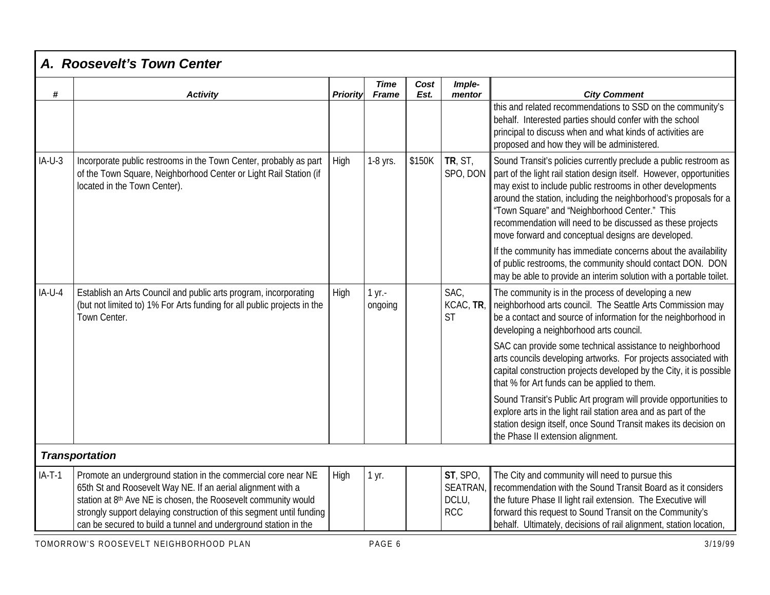| #        | <b>Activity</b>                                                                                                                                                                                                                                                                                                                           | <b>Priority</b> | <b>Time</b><br><b>Frame</b> | Cost<br>Est. | Imple-<br>mentor                            | <b>City Comment</b>                                                                                                                                                                                                                                                                                                                                                                                                                              |
|----------|-------------------------------------------------------------------------------------------------------------------------------------------------------------------------------------------------------------------------------------------------------------------------------------------------------------------------------------------|-----------------|-----------------------------|--------------|---------------------------------------------|--------------------------------------------------------------------------------------------------------------------------------------------------------------------------------------------------------------------------------------------------------------------------------------------------------------------------------------------------------------------------------------------------------------------------------------------------|
|          |                                                                                                                                                                                                                                                                                                                                           |                 |                             |              |                                             | this and related recommendations to SSD on the community's<br>behalf. Interested parties should confer with the school<br>principal to discuss when and what kinds of activities are<br>proposed and how they will be administered.                                                                                                                                                                                                              |
| $IA-U-3$ | Incorporate public restrooms in the Town Center, probably as part<br>of the Town Square, Neighborhood Center or Light Rail Station (if<br>located in the Town Center).                                                                                                                                                                    | High            | 1-8 yrs.                    | \$150K       | TR, ST,<br>SPO, DON                         | Sound Transit's policies currently preclude a public restroom as<br>part of the light rail station design itself. However, opportunities<br>may exist to include public restrooms in other developments<br>around the station, including the neighborhood's proposals for a<br>"Town Square" and "Neighborhood Center." This<br>recommendation will need to be discussed as these projects<br>move forward and conceptual designs are developed. |
|          |                                                                                                                                                                                                                                                                                                                                           |                 |                             |              |                                             | If the community has immediate concerns about the availability<br>of public restrooms, the community should contact DON. DON<br>may be able to provide an interim solution with a portable toilet.                                                                                                                                                                                                                                               |
| $IA-U-4$ | Establish an Arts Council and public arts program, incorporating<br>(but not limited to) 1% For Arts funding for all public projects in the<br>Town Center.                                                                                                                                                                               | High            | 1 yr.-<br>ongoing           |              | SAC.<br>KCAC, TR<br><b>ST</b>               | The community is in the process of developing a new<br>neighborhood arts council. The Seattle Arts Commission may<br>be a contact and source of information for the neighborhood in<br>developing a neighborhood arts council.                                                                                                                                                                                                                   |
|          |                                                                                                                                                                                                                                                                                                                                           |                 |                             |              |                                             | SAC can provide some technical assistance to neighborhood<br>arts councils developing artworks. For projects associated with<br>capital construction projects developed by the City, it is possible<br>that % for Art funds can be applied to them.                                                                                                                                                                                              |
|          |                                                                                                                                                                                                                                                                                                                                           |                 |                             |              |                                             | Sound Transit's Public Art program will provide opportunities to<br>explore arts in the light rail station area and as part of the<br>station design itself, once Sound Transit makes its decision on<br>the Phase II extension alignment.                                                                                                                                                                                                       |
|          | <b>Transportation</b>                                                                                                                                                                                                                                                                                                                     |                 |                             |              |                                             |                                                                                                                                                                                                                                                                                                                                                                                                                                                  |
| $IA-T-1$ | Promote an underground station in the commercial core near NE<br>65th St and Roosevelt Way NE. If an aerial alignment with a<br>station at 8th Ave NE is chosen, the Roosevelt community would<br>strongly support delaying construction of this segment until funding<br>can be secured to build a tunnel and underground station in the | High            | 1 yr.                       |              | ST, SPO,<br>SEATRAN,<br>DCLU,<br><b>RCC</b> | The City and community will need to pursue this<br>Fecommendation with the Sound Transit Board as it considers<br>the future Phase II light rail extension. The Executive will<br>forward this request to Sound Transit on the Community's<br>behalf. Ultimately, decisions of rail alignment, station location,                                                                                                                                 |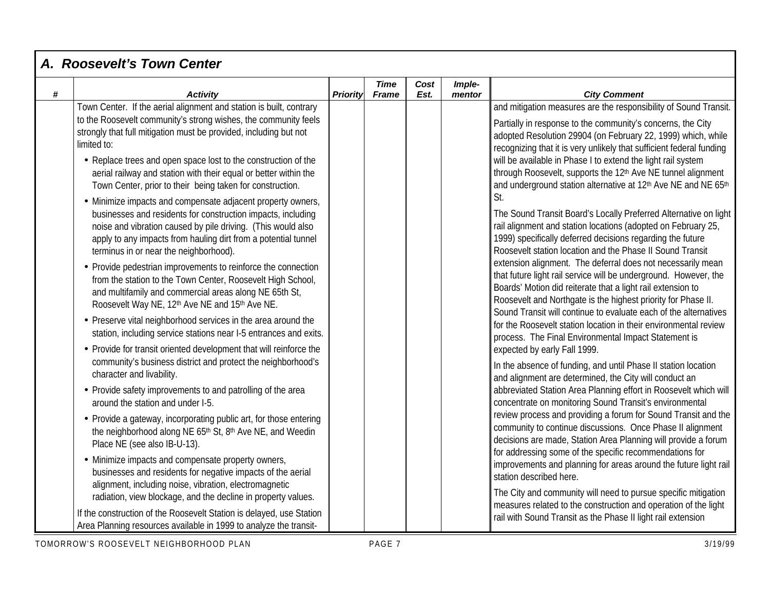|   | A. Roosevelt's Town Center                                                                                                                                                                                                                                                                              |          |                             |              |                  |                                                                                                                                                                                                                                                                                                                                     |
|---|---------------------------------------------------------------------------------------------------------------------------------------------------------------------------------------------------------------------------------------------------------------------------------------------------------|----------|-----------------------------|--------------|------------------|-------------------------------------------------------------------------------------------------------------------------------------------------------------------------------------------------------------------------------------------------------------------------------------------------------------------------------------|
| # | <b>Activity</b>                                                                                                                                                                                                                                                                                         | Priority | <b>Time</b><br><b>Frame</b> | Cost<br>Est. | Imple-<br>mentor | <b>City Comment</b>                                                                                                                                                                                                                                                                                                                 |
|   | Town Center. If the aerial alignment and station is built, contrary<br>to the Roosevelt community's strong wishes, the community feels<br>strongly that full mitigation must be provided, including but not<br>limited to:                                                                              |          |                             |              |                  | and mitigation measures are the responsibility of Sound Transit.<br>Partially in response to the community's concerns, the City<br>adopted Resolution 29904 (on February 22, 1999) which, while<br>recognizing that it is very unlikely that sufficient federal funding                                                             |
|   | • Replace trees and open space lost to the construction of the<br>aerial railway and station with their equal or better within the<br>Town Center, prior to their being taken for construction.                                                                                                         |          |                             |              |                  | will be available in Phase I to extend the light rail system<br>through Roosevelt, supports the 12th Ave NE tunnel alignment<br>and underground station alternative at 12th Ave NE and NE 65th                                                                                                                                      |
|   | • Minimize impacts and compensate adjacent property owners,<br>businesses and residents for construction impacts, including<br>noise and vibration caused by pile driving. (This would also<br>apply to any impacts from hauling dirt from a potential tunnel<br>terminus in or near the neighborhood). |          |                             |              |                  | St.<br>The Sound Transit Board's Locally Preferred Alternative on light<br>rail alignment and station locations (adopted on February 25,<br>1999) specifically deferred decisions regarding the future<br>Roosevelt station location and the Phase II Sound Transit                                                                 |
|   | • Provide pedestrian improvements to reinforce the connection<br>from the station to the Town Center, Roosevelt High School,<br>and multifamily and commercial areas along NE 65th St,<br>Roosevelt Way NE, 12th Ave NE and 15th Ave NE.                                                                |          |                             |              |                  | extension alignment. The deferral does not necessarily mean<br>that future light rail service will be underground. However, the<br>Boards' Motion did reiterate that a light rail extension to<br>Roosevelt and Northgate is the highest priority for Phase II.<br>Sound Transit will continue to evaluate each of the alternatives |
|   | • Preserve vital neighborhood services in the area around the<br>station, including service stations near I-5 entrances and exits.                                                                                                                                                                      |          |                             |              |                  | for the Roosevelt station location in their environmental review<br>process. The Final Environmental Impact Statement is                                                                                                                                                                                                            |
|   | • Provide for transit oriented development that will reinforce the<br>community's business district and protect the neighborhood's<br>character and livability.                                                                                                                                         |          |                             |              |                  | expected by early Fall 1999.<br>In the absence of funding, and until Phase II station location<br>and alignment are determined, the City will conduct an                                                                                                                                                                            |
|   | • Provide safety improvements to and patrolling of the area<br>around the station and under I-5.                                                                                                                                                                                                        |          |                             |              |                  | abbreviated Station Area Planning effort in Roosevelt which will<br>concentrate on monitoring Sound Transit's environmental                                                                                                                                                                                                         |
|   | • Provide a gateway, incorporating public art, for those entering<br>the neighborhood along NE 65th St, 8th Ave NE, and Weedin<br>Place NE (see also IB-U-13).                                                                                                                                          |          |                             |              |                  | review process and providing a forum for Sound Transit and the<br>community to continue discussions. Once Phase II alignment<br>decisions are made, Station Area Planning will provide a forum<br>for addressing some of the specific recommendations for                                                                           |
|   | • Minimize impacts and compensate property owners,<br>businesses and residents for negative impacts of the aerial<br>alignment, including noise, vibration, electromagnetic                                                                                                                             |          |                             |              |                  | improvements and planning for areas around the future light rail<br>station described here.                                                                                                                                                                                                                                         |
|   | radiation, view blockage, and the decline in property values.<br>If the construction of the Roosevelt Station is delayed, use Station<br>Area Planning resources available in 1999 to analyze the transit-                                                                                              |          |                             |              |                  | The City and community will need to pursue specific mitigation<br>measures related to the construction and operation of the light<br>rail with Sound Transit as the Phase II light rail extension                                                                                                                                   |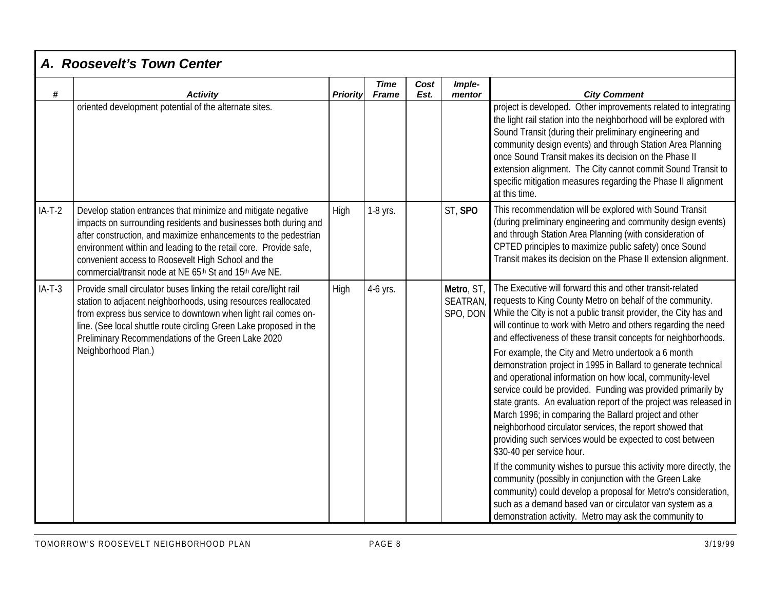|          | A. Roosevelt's Town Center                                                                                                                                                                                                                                                                                                                                                              |          |                             |              |                                          |                                                                                                                                                                                                                                                                                                                                                                                                                                                                                                                                                                                                                                                                                                                                                                                                                                                                                                                                                                                                                                                                                                                                                                                                    |
|----------|-----------------------------------------------------------------------------------------------------------------------------------------------------------------------------------------------------------------------------------------------------------------------------------------------------------------------------------------------------------------------------------------|----------|-----------------------------|--------------|------------------------------------------|----------------------------------------------------------------------------------------------------------------------------------------------------------------------------------------------------------------------------------------------------------------------------------------------------------------------------------------------------------------------------------------------------------------------------------------------------------------------------------------------------------------------------------------------------------------------------------------------------------------------------------------------------------------------------------------------------------------------------------------------------------------------------------------------------------------------------------------------------------------------------------------------------------------------------------------------------------------------------------------------------------------------------------------------------------------------------------------------------------------------------------------------------------------------------------------------------|
| #        | <b>Activity</b>                                                                                                                                                                                                                                                                                                                                                                         | Priority | <b>Time</b><br><b>Frame</b> | Cost<br>Est. | Imple-<br>mentor                         | <b>City Comment</b>                                                                                                                                                                                                                                                                                                                                                                                                                                                                                                                                                                                                                                                                                                                                                                                                                                                                                                                                                                                                                                                                                                                                                                                |
|          | oriented development potential of the alternate sites.                                                                                                                                                                                                                                                                                                                                  |          |                             |              |                                          | project is developed. Other improvements related to integrating<br>the light rail station into the neighborhood will be explored with<br>Sound Transit (during their preliminary engineering and<br>community design events) and through Station Area Planning<br>once Sound Transit makes its decision on the Phase II<br>extension alignment. The City cannot commit Sound Transit to<br>specific mitigation measures regarding the Phase II alignment<br>at this time.                                                                                                                                                                                                                                                                                                                                                                                                                                                                                                                                                                                                                                                                                                                          |
| $IA-T-2$ | Develop station entrances that minimize and mitigate negative<br>impacts on surrounding residents and businesses both during and<br>after construction, and maximize enhancements to the pedestrian<br>environment within and leading to the retail core. Provide safe,<br>convenient access to Roosevelt High School and the<br>commercial/transit node at NE 65th St and 15th Ave NE. | High     | 1-8 yrs.                    |              | ST, SPO                                  | This recommendation will be explored with Sound Transit<br>(during preliminary engineering and community design events)<br>and through Station Area Planning (with consideration of<br>CPTED principles to maximize public safety) once Sound<br>Transit makes its decision on the Phase II extension alignment.                                                                                                                                                                                                                                                                                                                                                                                                                                                                                                                                                                                                                                                                                                                                                                                                                                                                                   |
| $IA-T-3$ | Provide small circulator buses linking the retail core/light rail<br>station to adjacent neighborhoods, using resources reallocated<br>from express bus service to downtown when light rail comes on-<br>line. (See local shuttle route circling Green Lake proposed in the<br>Preliminary Recommendations of the Green Lake 2020<br>Neighborhood Plan.)                                | High     | 4-6 yrs.                    |              | Metro, ST,<br><b>SEATRAN</b><br>SPO, DON | The Executive will forward this and other transit-related<br>requests to King County Metro on behalf of the community.<br>While the City is not a public transit provider, the City has and<br>will continue to work with Metro and others regarding the need<br>and effectiveness of these transit concepts for neighborhoods.<br>For example, the City and Metro undertook a 6 month<br>demonstration project in 1995 in Ballard to generate technical<br>and operational information on how local, community-level<br>service could be provided. Funding was provided primarily by<br>state grants. An evaluation report of the project was released in<br>March 1996; in comparing the Ballard project and other<br>neighborhood circulator services, the report showed that<br>providing such services would be expected to cost between<br>\$30-40 per service hour.<br>If the community wishes to pursue this activity more directly, the<br>community (possibly in conjunction with the Green Lake<br>community) could develop a proposal for Metro's consideration,<br>such as a demand based van or circulator van system as a<br>demonstration activity. Metro may ask the community to |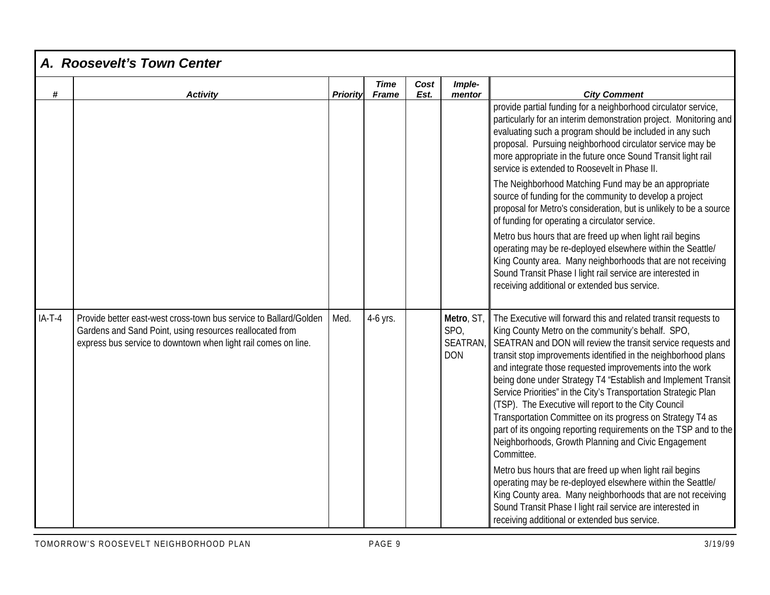| $\#$     | A. Roosevelt's Town Center<br><b>Activity</b>                                                                                                                                                   | Priority | <b>Time</b><br><b>Frame</b> | Cost<br>Est. | Imple-<br>mentor                             | <b>City Comment</b>                                                                                                                                                                                                                                                                                                                                                                                                                                                                                                                                                                                                                                                                                                                                                                                                                                                                                                                                                                                                           |
|----------|-------------------------------------------------------------------------------------------------------------------------------------------------------------------------------------------------|----------|-----------------------------|--------------|----------------------------------------------|-------------------------------------------------------------------------------------------------------------------------------------------------------------------------------------------------------------------------------------------------------------------------------------------------------------------------------------------------------------------------------------------------------------------------------------------------------------------------------------------------------------------------------------------------------------------------------------------------------------------------------------------------------------------------------------------------------------------------------------------------------------------------------------------------------------------------------------------------------------------------------------------------------------------------------------------------------------------------------------------------------------------------------|
|          |                                                                                                                                                                                                 |          |                             |              |                                              | provide partial funding for a neighborhood circulator service,<br>particularly for an interim demonstration project. Monitoring and<br>evaluating such a program should be included in any such<br>proposal. Pursuing neighborhood circulator service may be<br>more appropriate in the future once Sound Transit light rail<br>service is extended to Roosevelt in Phase II.<br>The Neighborhood Matching Fund may be an appropriate<br>source of funding for the community to develop a project<br>proposal for Metro's consideration, but is unlikely to be a source<br>of funding for operating a circulator service.<br>Metro bus hours that are freed up when light rail begins<br>operating may be re-deployed elsewhere within the Seattle/<br>King County area. Many neighborhoods that are not receiving<br>Sound Transit Phase I light rail service are interested in<br>receiving additional or extended bus service.                                                                                             |
| $IA-T-4$ | Provide better east-west cross-town bus service to Ballard/Golden<br>Gardens and Sand Point, using resources reallocated from<br>express bus service to downtown when light rail comes on line. | Med.     | 4-6 yrs.                    |              | Metro, ST,<br>SPO,<br>SEATRAN,<br><b>DON</b> | The Executive will forward this and related transit requests to<br>King County Metro on the community's behalf. SPO,<br>SEATRAN and DON will review the transit service requests and<br>transit stop improvements identified in the neighborhood plans<br>and integrate those requested improvements into the work<br>being done under Strategy T4 "Establish and Implement Transit<br>Service Priorities" in the City's Transportation Strategic Plan<br>(TSP). The Executive will report to the City Council<br>Transportation Committee on its progress on Strategy T4 as<br>part of its ongoing reporting requirements on the TSP and to the<br>Neighborhoods, Growth Planning and Civic Engagement<br>Committee.<br>Metro bus hours that are freed up when light rail begins<br>operating may be re-deployed elsewhere within the Seattle/<br>King County area. Many neighborhoods that are not receiving<br>Sound Transit Phase I light rail service are interested in<br>receiving additional or extended bus service. |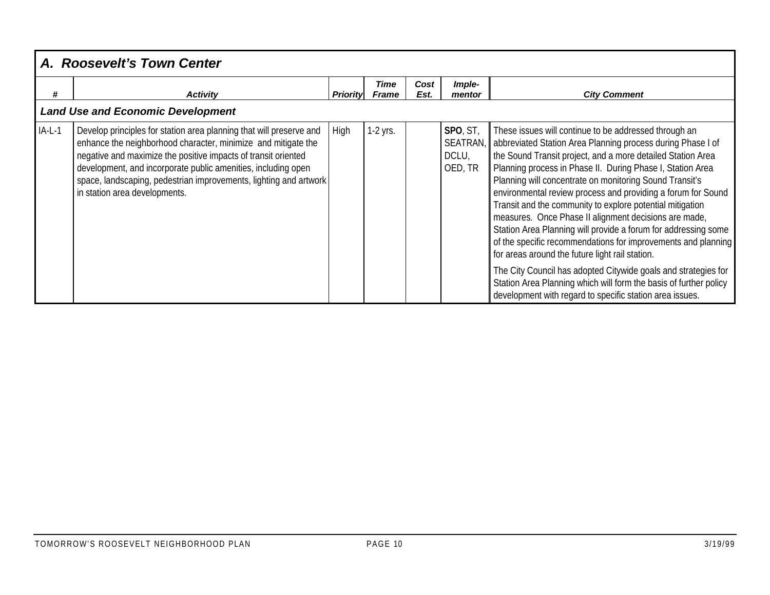|          | A. Roosevelt's Town Center                                                                                                                                                                                                                                                                                                                                                    |                 |                      |              |                                          |                                                                                                                                                                                                                                                                                                                                                                                                                                                                                                                                                                                                                                                                                                                                                                                                                                                                                             |  |  |
|----------|-------------------------------------------------------------------------------------------------------------------------------------------------------------------------------------------------------------------------------------------------------------------------------------------------------------------------------------------------------------------------------|-----------------|----------------------|--------------|------------------------------------------|---------------------------------------------------------------------------------------------------------------------------------------------------------------------------------------------------------------------------------------------------------------------------------------------------------------------------------------------------------------------------------------------------------------------------------------------------------------------------------------------------------------------------------------------------------------------------------------------------------------------------------------------------------------------------------------------------------------------------------------------------------------------------------------------------------------------------------------------------------------------------------------------|--|--|
| #        | <b>Activity</b>                                                                                                                                                                                                                                                                                                                                                               | <b>Priority</b> | Time<br><b>Frame</b> | Cost<br>Est. | Imple-<br>mentor                         | <b>City Comment</b>                                                                                                                                                                                                                                                                                                                                                                                                                                                                                                                                                                                                                                                                                                                                                                                                                                                                         |  |  |
|          | <b>Land Use and Economic Development</b>                                                                                                                                                                                                                                                                                                                                      |                 |                      |              |                                          |                                                                                                                                                                                                                                                                                                                                                                                                                                                                                                                                                                                                                                                                                                                                                                                                                                                                                             |  |  |
| $IA-L-1$ | Develop principles for station area planning that will preserve and<br>enhance the neighborhood character, minimize and mitigate the<br>negative and maximize the positive impacts of transit oriented<br>development, and incorporate public amenities, including open<br>space, landscaping, pedestrian improvements, lighting and artwork<br>in station area developments. | High            | 1-2 yrs.             |              | SPO, ST,<br>SEATRAN,<br>DCLU,<br>OED, TR | These issues will continue to be addressed through an<br>abbreviated Station Area Planning process during Phase I of<br>the Sound Transit project, and a more detailed Station Area<br>Planning process in Phase II. During Phase I, Station Area<br>Planning will concentrate on monitoring Sound Transit's<br>environmental review process and providing a forum for Sound<br>Transit and the community to explore potential mitigation<br>measures. Once Phase II alignment decisions are made,<br>Station Area Planning will provide a forum for addressing some<br>of the specific recommendations for improvements and planning<br>for areas around the future light rail station.<br>The City Council has adopted Citywide goals and strategies for<br>Station Area Planning which will form the basis of further policy<br>development with regard to specific station area issues. |  |  |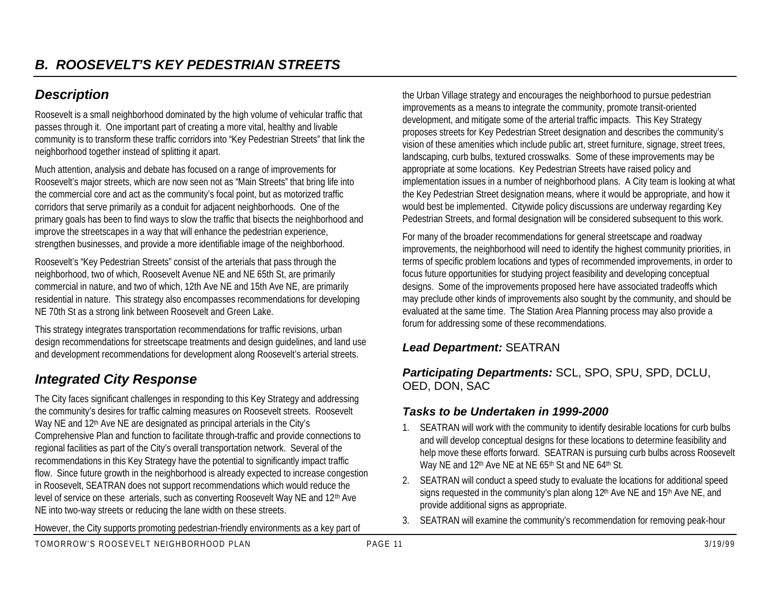# *Description*

Roosevelt is a small neighborhood dominated by the high volume of vehicular traffic that passes through it. One important part of creating a more vital, healthy and livable community is to transform these traffic corridors into "Key Pedestrian Streets" that link the neighborhood together instead of splitting it apart.

Much attention, analysis and debate has focused on a range of improvements for Roosevelt's major streets, which are now seen not as "Main Streets" that bring life into the commercial core and act as the community's focal point, but as motorized traffic corridors that serve primarily as a conduit for adjacent neighborhoods. One of the primary goals has been to find ways to slow the traffic that bisects the neighborhood and improve the streetscapes in a way that will enhance the pedestrian experience, strengthen businesses, and provide a more identifiable image of the neighborhood.

Roosevelt's "Key Pedestrian Streets" consist of the arterials that pass through the neighborhood, two of which, Roosevelt Avenue NE and NE 65th St, are primarily commercial in nature, and two of which, 12th Ave NE and 15th Ave NE, are primarily residential in nature. This strategy also encompasses recommendations for developing NE 70th St as a strong link between Roosevelt and Green Lake.

This strategy integrates transportation recommendations for traffic revisions, urban design recommendations for streetscape treatments and design guidelines, and land use and development recommendations for development along Roosevelt's arterial streets.

# *Integrated City Response*

The City faces significant challenges in responding to this Key Strategy and addressing the community's desires for traffic calming measures on Roosevelt streets. Roosevelt Way NE and 12<sup>th</sup> Ave NE are designated as principal arterials in the City's Comprehensive Plan and function to facilitate through-traffic and provide connections to regional facilities as part of the City's overall transportation network. Several of the recommendations in this Key Strategy have the potential to significantly impact traffic flow. Since future growth in the neighborhood is already expected to increase congestion in Roosevelt, SEATRAN does not support recommendations which would reduce the level of service on these arterials, such as converting Roosevelt Way NE and 12th Ave NE into two-way streets or reducing the lane width on these streets.

However, the City supports promoting pedestrian-friendly environments as a key part of

the Urban Village strategy and encourages the neighborhood to pursue pedestrian improvements as a means to integrate the community, promote transit-oriented development, and mitigate some of the arterial traffic impacts. This Key Strategy proposes streets for Key Pedestrian Street designation and describes the community's vision of these amenities which include public art, street furniture, signage, street trees, landscaping, curb bulbs, textured crosswalks. Some of these improvements may be appropriate at some locations. Key Pedestrian Streets have raised policy and implementation issues in a number of neighborhood plans. A City team is looking at what the Key Pedestrian Street designation means, where it would be appropriate, and how it would best be implemented. Citywide policy discussions are underway regarding Key Pedestrian Streets, and formal designation will be considered subsequent to this work.

For many of the broader recommendations for general streetscape and roadway improvements, the neighborhood will need to identify the highest community priorities, in terms of specific problem locations and types of recommended improvements, in order to focus future opportunities for studying project feasibility and developing conceptual designs. Some of the improvements proposed here have associated tradeoffs which may preclude other kinds of improvements also sought by the community, and should be evaluated at the same time. The Station Area Planning process may also provide a forum for addressing some of these recommendations.

#### *Lead Department:* SEATRAN

*Participating Departments:* SCL, SPO, SPU, SPD, DCLU, OED, DON, SAC

#### *Tasks to be Undertaken in 1999-2000*

- 1. SEATRAN will work with the community to identify desirable locations for curb bulbs and will develop conceptual designs for these locations to determine feasibility and help move these efforts forward. SEATRAN is pursuing curb bulbs across Roosevelt Way NE and 12<sup>th</sup> Ave NE at NE 65<sup>th</sup> St and NE 64<sup>th</sup> St.
- 2. SEATRAN will conduct a speed study to evaluate the locations for additional speed signs requested in the community's plan along 12<sup>th</sup> Ave NE and 15<sup>th</sup> Ave NE, and provide additional signs as appropriate.
- 3. SEATRAN will examine the community's recommendation for removing peak-hour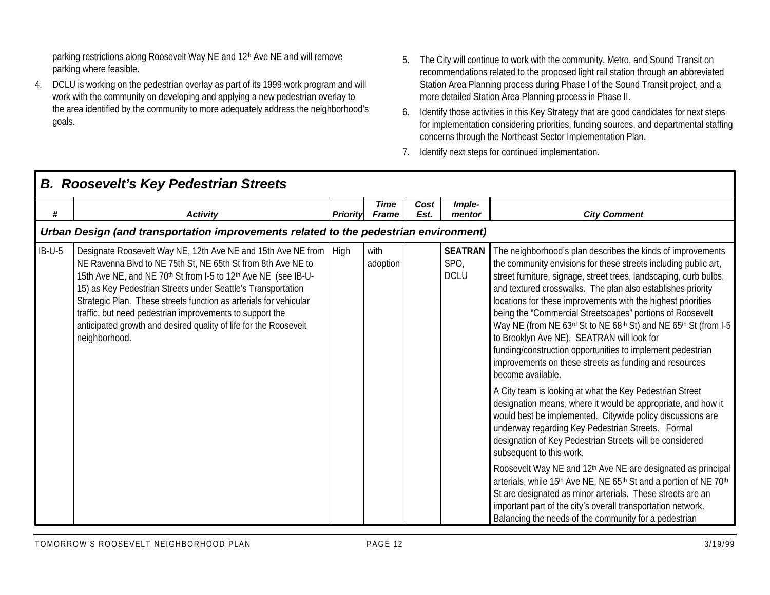parking restrictions along Roosevelt Way NE and 12th Ave NE and will remove parking where feasible.

- 4. DCLU is working on the pedestrian overlay as part of its 1999 work program and will work with the community on developing and applying a new pedestrian overlay to the area identified by the community to more adequately address the neighborhood's goals.
- 5. The City will continue to work with the community, Metro, and Sound Transit on recommendations related to the proposed light rail station through an abbreviated Station Area Planning process during Phase I of the Sound Transit project, and a more detailed Station Area Planning process in Phase II.
- 6. Identify those activities in this Key Strategy that are good candidates for next steps for implementation considering priorities, funding sources, and departmental staffing concerns through the Northeast Sector Implementation Plan.
- 7. Identify next steps for continued implementation.

|          | <b>B. Roosevelt's Key Pedestrian Streets</b>                                                                                                                                                                                                                                                                                                                                                                                                                                                |                 |                      |              |                                       |                                                                                                                                                                                                                                                                                                                                                                                                                                                                                                                                                                                                                                                                                                                                                                                                                                                                                                                                                                                                                                                                                                                                                                                                                                                                                                                                                                                  |  |  |  |  |
|----------|---------------------------------------------------------------------------------------------------------------------------------------------------------------------------------------------------------------------------------------------------------------------------------------------------------------------------------------------------------------------------------------------------------------------------------------------------------------------------------------------|-----------------|----------------------|--------------|---------------------------------------|----------------------------------------------------------------------------------------------------------------------------------------------------------------------------------------------------------------------------------------------------------------------------------------------------------------------------------------------------------------------------------------------------------------------------------------------------------------------------------------------------------------------------------------------------------------------------------------------------------------------------------------------------------------------------------------------------------------------------------------------------------------------------------------------------------------------------------------------------------------------------------------------------------------------------------------------------------------------------------------------------------------------------------------------------------------------------------------------------------------------------------------------------------------------------------------------------------------------------------------------------------------------------------------------------------------------------------------------------------------------------------|--|--|--|--|
| #        | <b>Activity</b>                                                                                                                                                                                                                                                                                                                                                                                                                                                                             | <b>Priority</b> | Time<br><b>Frame</b> | Cost<br>Est. | Imple-<br>mentor                      | <b>City Comment</b>                                                                                                                                                                                                                                                                                                                                                                                                                                                                                                                                                                                                                                                                                                                                                                                                                                                                                                                                                                                                                                                                                                                                                                                                                                                                                                                                                              |  |  |  |  |
|          | Urban Design (and transportation improvements related to the pedestrian environment)                                                                                                                                                                                                                                                                                                                                                                                                        |                 |                      |              |                                       |                                                                                                                                                                                                                                                                                                                                                                                                                                                                                                                                                                                                                                                                                                                                                                                                                                                                                                                                                                                                                                                                                                                                                                                                                                                                                                                                                                                  |  |  |  |  |
| $IB-U-5$ | Designate Roosevelt Way NE, 12th Ave NE and 15th Ave NE from   High<br>NE Ravenna Blvd to NE 75th St, NE 65th St from 8th Ave NE to<br>15th Ave NE, and NE 70th St from I-5 to 12th Ave NE (see IB-U-<br>15) as Key Pedestrian Streets under Seattle's Transportation<br>Strategic Plan. These streets function as arterials for vehicular<br>traffic, but need pedestrian improvements to support the<br>anticipated growth and desired quality of life for the Roosevelt<br>neighborhood. |                 | with<br>adoption     |              | <b>SEATRAN</b><br>SPO,<br><b>DCLU</b> | The neighborhood's plan describes the kinds of improvements<br>the community envisions for these streets including public art,<br>street furniture, signage, street trees, landscaping, curb bulbs,<br>and textured crosswalks. The plan also establishes priority<br>locations for these improvements with the highest priorities<br>being the "Commercial Streetscapes" portions of Roosevelt<br>Way NE (from NE 63rd St to NE 68th St) and NE 65th St (from I-5<br>to Brooklyn Ave NE). SEATRAN will look for<br>funding/construction opportunities to implement pedestrian<br>improvements on these streets as funding and resources<br>become available.<br>A City team is looking at what the Key Pedestrian Street<br>designation means, where it would be appropriate, and how it<br>would best be implemented. Citywide policy discussions are<br>underway regarding Key Pedestrian Streets. Formal<br>designation of Key Pedestrian Streets will be considered<br>subsequent to this work.<br>Roosevelt Way NE and 12 <sup>th</sup> Ave NE are designated as principal<br>arterials, while 15 <sup>th</sup> Ave NE, NE 65 <sup>th</sup> St and a portion of NE 70 <sup>th</sup><br>St are designated as minor arterials. These streets are an<br>important part of the city's overall transportation network.<br>Balancing the needs of the community for a pedestrian |  |  |  |  |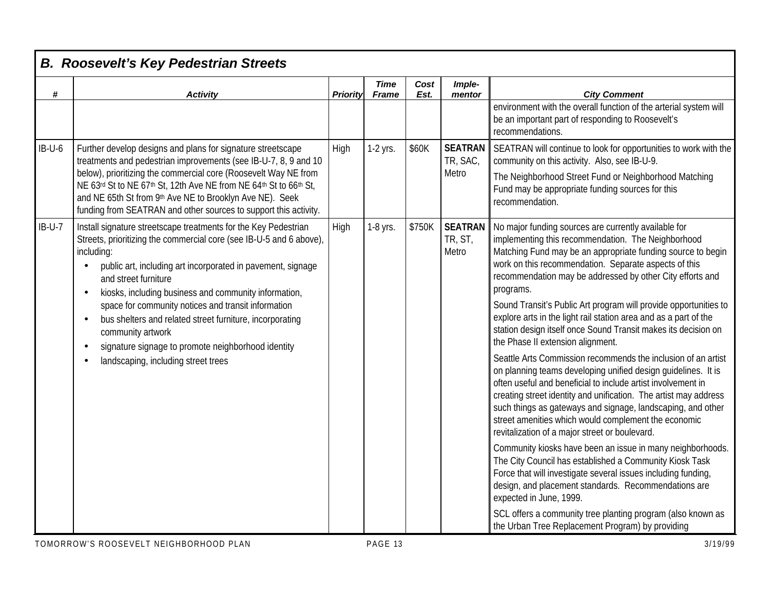| #        | <b>Activity</b>                                                                                                                                                                                                                                                                                                                                                                                                                                                                                                                                                                                                   | <b>Priority</b> | <b>Time</b><br>Frame | Cost<br>Est.                       | Imple-<br>mentor                                                                                                                                                                                                                                                                                             | <b>City Comment</b>                                                                                                                                                                                                                                                                                                                                                                                                                         |  |       |
|----------|-------------------------------------------------------------------------------------------------------------------------------------------------------------------------------------------------------------------------------------------------------------------------------------------------------------------------------------------------------------------------------------------------------------------------------------------------------------------------------------------------------------------------------------------------------------------------------------------------------------------|-----------------|----------------------|------------------------------------|--------------------------------------------------------------------------------------------------------------------------------------------------------------------------------------------------------------------------------------------------------------------------------------------------------------|---------------------------------------------------------------------------------------------------------------------------------------------------------------------------------------------------------------------------------------------------------------------------------------------------------------------------------------------------------------------------------------------------------------------------------------------|--|-------|
|          |                                                                                                                                                                                                                                                                                                                                                                                                                                                                                                                                                                                                                   |                 |                      |                                    |                                                                                                                                                                                                                                                                                                              | environment with the overall function of the arterial system will<br>be an important part of responding to Roosevelt's<br>recommendations.                                                                                                                                                                                                                                                                                                  |  |       |
| $IB-U-6$ | Further develop designs and plans for signature streetscape<br>treatments and pedestrian improvements (see IB-U-7, 8, 9 and 10                                                                                                                                                                                                                                                                                                                                                                                                                                                                                    | High            | 1-2 yrs.             | \$60K                              | <b>SEATRAN</b><br>TR, SAC,                                                                                                                                                                                                                                                                                   | SEATRAN will continue to look for opportunities to work with the<br>community on this activity. Also, see IB-U-9.                                                                                                                                                                                                                                                                                                                           |  |       |
|          | below), prioritizing the commercial core (Roosevelt Way NE from<br>NE 63rd St to NE 67th St, 12th Ave NE from NE 64th St to 66th St,<br>and NE 65th St from 9th Ave NE to Brooklyn Ave NE). Seek<br>funding from SEATRAN and other sources to support this activity.                                                                                                                                                                                                                                                                                                                                              |                 |                      |                                    |                                                                                                                                                                                                                                                                                                              |                                                                                                                                                                                                                                                                                                                                                                                                                                             |  | Metro |
| $IB-U-7$ | Install signature streetscape treatments for the Key Pedestrian<br>1-8 yrs.<br>High<br>Streets, prioritizing the commercial core (see IB-U-5 and 6 above),<br>including:<br>public art, including art incorporated in pavement, signage<br>$\bullet$<br>and street furniture<br>kiosks, including business and community information,<br>$\bullet$<br>space for community notices and transit information<br>bus shelters and related street furniture, incorporating<br>$\bullet$<br>community artwork<br>signature signage to promote neighborhood identity<br>$\bullet$<br>landscaping, including street trees |                 | \$750K               | <b>SEATRAN</b><br>TR, ST,<br>Metro | No major funding sources are currently available for<br>implementing this recommendation. The Neighborhood<br>Matching Fund may be an appropriate funding source to begin<br>work on this recommendation. Separate aspects of this<br>recommendation may be addressed by other City efforts and<br>programs. |                                                                                                                                                                                                                                                                                                                                                                                                                                             |  |       |
|          |                                                                                                                                                                                                                                                                                                                                                                                                                                                                                                                                                                                                                   |                 |                      |                                    |                                                                                                                                                                                                                                                                                                              | Sound Transit's Public Art program will provide opportunities to<br>explore arts in the light rail station area and as a part of the<br>station design itself once Sound Transit makes its decision on<br>the Phase II extension alignment.                                                                                                                                                                                                 |  |       |
|          |                                                                                                                                                                                                                                                                                                                                                                                                                                                                                                                                                                                                                   |                 |                      |                                    |                                                                                                                                                                                                                                                                                                              | Seattle Arts Commission recommends the inclusion of an artist<br>on planning teams developing unified design guidelines. It is<br>often useful and beneficial to include artist involvement in<br>creating street identity and unification. The artist may address<br>such things as gateways and signage, landscaping, and other<br>street amenities which would complement the economic<br>revitalization of a major street or boulevard. |  |       |
|          |                                                                                                                                                                                                                                                                                                                                                                                                                                                                                                                                                                                                                   |                 |                      |                                    |                                                                                                                                                                                                                                                                                                              | Community kiosks have been an issue in many neighborhoods.<br>The City Council has established a Community Kiosk Task<br>Force that will investigate several issues including funding,<br>design, and placement standards. Recommendations are<br>expected in June, 1999.                                                                                                                                                                   |  |       |
|          |                                                                                                                                                                                                                                                                                                                                                                                                                                                                                                                                                                                                                   |                 |                      |                                    |                                                                                                                                                                                                                                                                                                              | SCL offers a community tree planting program (also known as<br>the Urban Tree Replacement Program) by providing                                                                                                                                                                                                                                                                                                                             |  |       |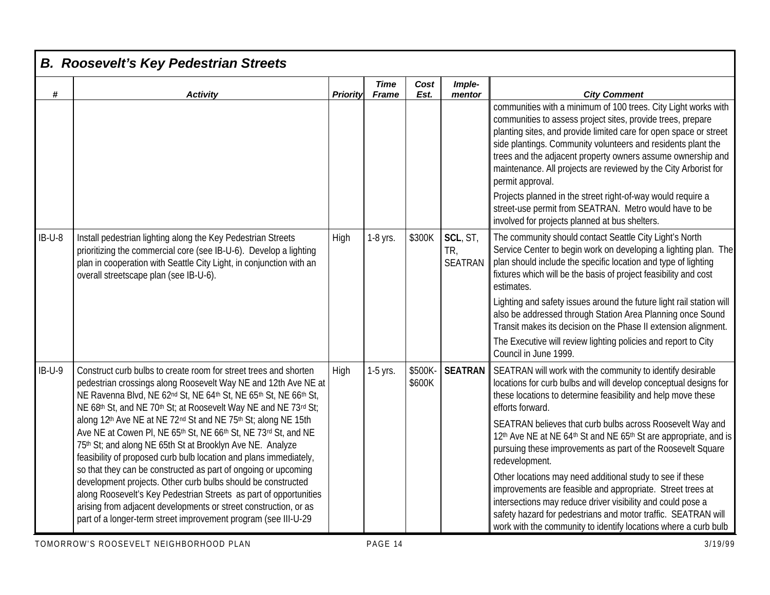| #        | <b>Activity</b>                                                                                                                                                                                                                                                                                                                                                                                                                                                                                                                                                                                                                                                                                                                                                                                                                                                                             | <b>Priority</b> | <b>Time</b><br><b>Frame</b> | Cost<br>Est.      | Imple-<br>mentor                  | <b>City Comment</b>                                                                                                                                                                                                                                                                                                                                                                                                                                                                                                                                                                                                                                                                                                                                                |
|----------|---------------------------------------------------------------------------------------------------------------------------------------------------------------------------------------------------------------------------------------------------------------------------------------------------------------------------------------------------------------------------------------------------------------------------------------------------------------------------------------------------------------------------------------------------------------------------------------------------------------------------------------------------------------------------------------------------------------------------------------------------------------------------------------------------------------------------------------------------------------------------------------------|-----------------|-----------------------------|-------------------|-----------------------------------|--------------------------------------------------------------------------------------------------------------------------------------------------------------------------------------------------------------------------------------------------------------------------------------------------------------------------------------------------------------------------------------------------------------------------------------------------------------------------------------------------------------------------------------------------------------------------------------------------------------------------------------------------------------------------------------------------------------------------------------------------------------------|
|          |                                                                                                                                                                                                                                                                                                                                                                                                                                                                                                                                                                                                                                                                                                                                                                                                                                                                                             |                 |                             |                   |                                   | communities with a minimum of 100 trees. City Light works with<br>communities to assess project sites, provide trees, prepare<br>planting sites, and provide limited care for open space or street<br>side plantings. Community volunteers and residents plant the<br>trees and the adjacent property owners assume ownership and<br>maintenance. All projects are reviewed by the City Arborist for<br>permit approval.<br>Projects planned in the street right-of-way would require a<br>street-use permit from SEATRAN. Metro would have to be<br>involved for projects planned at bus shelters.                                                                                                                                                                |
| $IB-U-8$ | Install pedestrian lighting along the Key Pedestrian Streets<br>prioritizing the commercial core (see IB-U-6). Develop a lighting<br>plan in cooperation with Seattle City Light, in conjunction with an<br>overall streetscape plan (see IB-U-6).                                                                                                                                                                                                                                                                                                                                                                                                                                                                                                                                                                                                                                          | High            | 1-8 yrs.                    | \$300K            | SCL, ST,<br>TR,<br><b>SEATRAN</b> | The community should contact Seattle City Light's North<br>Service Center to begin work on developing a lighting plan. The<br>plan should include the specific location and type of lighting<br>fixtures which will be the basis of project feasibility and cost<br>estimates.<br>Lighting and safety issues around the future light rail station will<br>also be addressed through Station Area Planning once Sound<br>Transit makes its decision on the Phase II extension alignment.<br>The Executive will review lighting policies and report to City<br>Council in June 1999.                                                                                                                                                                                 |
| $IB-U-9$ | Construct curb bulbs to create room for street trees and shorten<br>pedestrian crossings along Roosevelt Way NE and 12th Ave NE at<br>NE Ravenna Blvd, NE 62nd St, NE 64th St, NE 65th St, NE 66th St,<br>NE 68th St, and NE 70th St; at Roosevelt Way NE and NE 73rd St;<br>along 12th Ave NE at NE 72nd St and NE 75th St; along NE 15th<br>Ave NE at Cowen PI, NE 65th St, NE 66th St, NE 73rd St, and NE<br>75th St; and along NE 65th St at Brooklyn Ave NE. Analyze<br>feasibility of proposed curb bulb location and plans immediately,<br>so that they can be constructed as part of ongoing or upcoming<br>development projects. Other curb bulbs should be constructed<br>along Roosevelt's Key Pedestrian Streets as part of opportunities<br>arising from adjacent developments or street construction, or as<br>part of a longer-term street improvement program (see III-U-29 | High            | 1-5 yrs.                    | \$500K-<br>\$600K | <b>SEATRAN</b>                    | SEATRAN will work with the community to identify desirable<br>locations for curb bulbs and will develop conceptual designs for<br>these locations to determine feasibility and help move these<br>efforts forward.<br>SEATRAN believes that curb bulbs across Roosevelt Way and<br>12th Ave NE at NE 64th St and NE 65th St are appropriate, and is<br>pursuing these improvements as part of the Roosevelt Square<br>redevelopment.<br>Other locations may need additional study to see if these<br>improvements are feasible and appropriate. Street trees at<br>intersections may reduce driver visibility and could pose a<br>safety hazard for pedestrians and motor traffic. SEATRAN will<br>work with the community to identify locations where a curb bulb |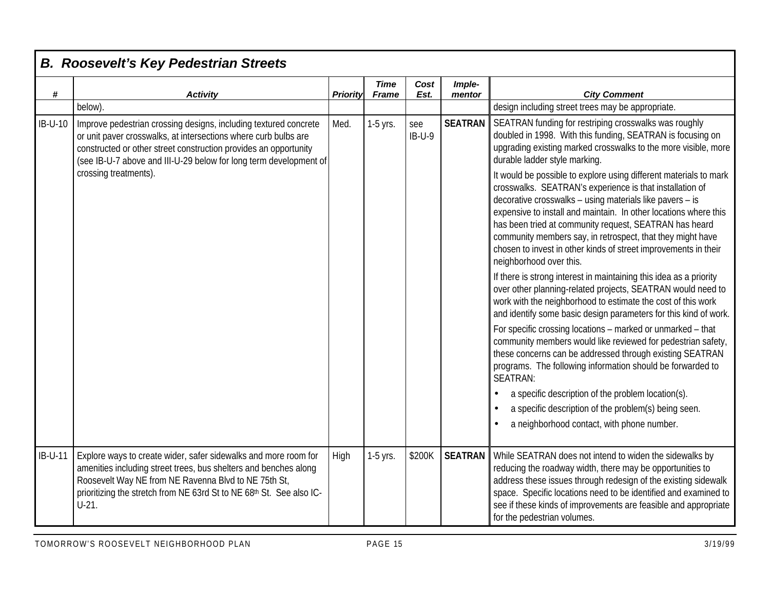| #         | <b>Activity</b>                                                                                                                                                                                                                                                                 | <b>Priority</b> | <b>Time</b><br>Frame | Cost<br>Est.    | Imple-<br>mentor | <b>City Comment</b>                                                                                                                                                                                                                                                                                                                                                                                                                                                                 |  |  |  |  |  |  |  |  |                                                                                                                                                                                                                                                                       |
|-----------|---------------------------------------------------------------------------------------------------------------------------------------------------------------------------------------------------------------------------------------------------------------------------------|-----------------|----------------------|-----------------|------------------|-------------------------------------------------------------------------------------------------------------------------------------------------------------------------------------------------------------------------------------------------------------------------------------------------------------------------------------------------------------------------------------------------------------------------------------------------------------------------------------|--|--|--|--|--|--|--|--|-----------------------------------------------------------------------------------------------------------------------------------------------------------------------------------------------------------------------------------------------------------------------|
|           | below).                                                                                                                                                                                                                                                                         |                 |                      |                 |                  | design including street trees may be appropriate.                                                                                                                                                                                                                                                                                                                                                                                                                                   |  |  |  |  |  |  |  |  |                                                                                                                                                                                                                                                                       |
| IB-U-10   | Improve pedestrian crossing designs, including textured concrete<br>or unit paver crosswalks, at intersections where curb bulbs are<br>constructed or other street construction provides an opportunity<br>(see IB-U-7 above and III-U-29 below for long term development of    | Med.            | 1-5 yrs.             | see<br>$IB-U-9$ |                  | <b>SEATRAN</b> SEATRAN funding for restriping crosswalks was roughly<br>doubled in 1998. With this funding, SEATRAN is focusing on<br>upgrading existing marked crosswalks to the more visible, more<br>durable ladder style marking.                                                                                                                                                                                                                                               |  |  |  |  |  |  |  |  |                                                                                                                                                                                                                                                                       |
|           | crossing treatments).                                                                                                                                                                                                                                                           |                 |                      |                 |                  | It would be possible to explore using different materials to mark<br>crosswalks. SEATRAN's experience is that installation of<br>decorative crosswalks – using materials like pavers – is<br>expensive to install and maintain. In other locations where this<br>has been tried at community request, SEATRAN has heard<br>community members say, in retrospect, that they might have<br>chosen to invest in other kinds of street improvements in their<br>neighborhood over this. |  |  |  |  |  |  |  |  |                                                                                                                                                                                                                                                                       |
|           |                                                                                                                                                                                                                                                                                 |                 |                      |                 |                  |                                                                                                                                                                                                                                                                                                                                                                                                                                                                                     |  |  |  |  |  |  |  |  | If there is strong interest in maintaining this idea as a priority<br>over other planning-related projects, SEATRAN would need to<br>work with the neighborhood to estimate the cost of this work<br>and identify some basic design parameters for this kind of work. |
|           |                                                                                                                                                                                                                                                                                 |                 |                      |                 |                  | For specific crossing locations - marked or unmarked - that<br>community members would like reviewed for pedestrian safety,<br>these concerns can be addressed through existing SEATRAN<br>programs. The following information should be forwarded to<br>SEATRAN:                                                                                                                                                                                                                   |  |  |  |  |  |  |  |  |                                                                                                                                                                                                                                                                       |
|           |                                                                                                                                                                                                                                                                                 |                 |                      |                 |                  | a specific description of the problem location(s).                                                                                                                                                                                                                                                                                                                                                                                                                                  |  |  |  |  |  |  |  |  |                                                                                                                                                                                                                                                                       |
|           |                                                                                                                                                                                                                                                                                 |                 |                      |                 |                  | a specific description of the problem(s) being seen.                                                                                                                                                                                                                                                                                                                                                                                                                                |  |  |  |  |  |  |  |  |                                                                                                                                                                                                                                                                       |
|           |                                                                                                                                                                                                                                                                                 |                 |                      |                 |                  | a neighborhood contact, with phone number.                                                                                                                                                                                                                                                                                                                                                                                                                                          |  |  |  |  |  |  |  |  |                                                                                                                                                                                                                                                                       |
| $IB-U-11$ | Explore ways to create wider, safer sidewalks and more room for<br>amenities including street trees, bus shelters and benches along<br>Roosevelt Way NE from NE Ravenna Blvd to NE 75th St,<br>prioritizing the stretch from NE 63rd St to NE 68th St. See also IC-<br>$U-21$ . | High            | 1-5 yrs.             | \$200K          |                  | <b>SEATRAN</b> While SEATRAN does not intend to widen the sidewalks by<br>reducing the roadway width, there may be opportunities to<br>address these issues through redesign of the existing sidewalk<br>space. Specific locations need to be identified and examined to<br>see if these kinds of improvements are feasible and appropriate<br>for the pedestrian volumes.                                                                                                          |  |  |  |  |  |  |  |  |                                                                                                                                                                                                                                                                       |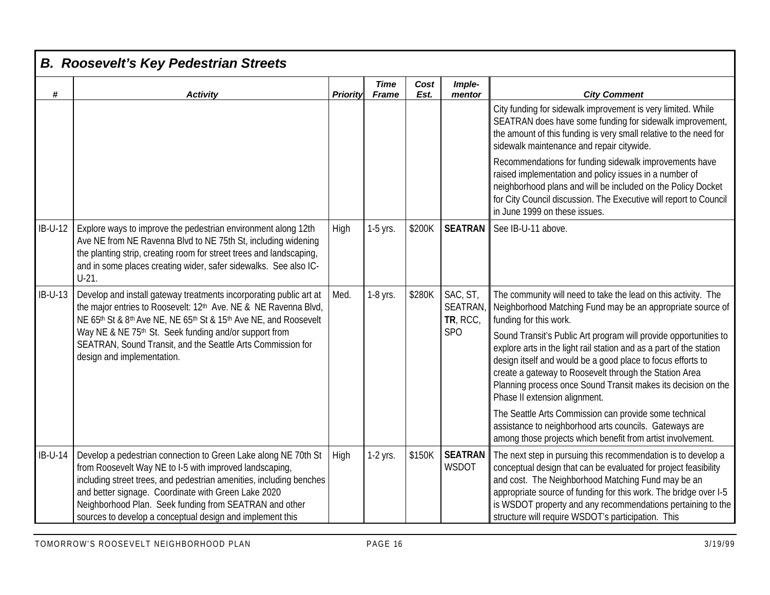|                | <b>B. Roosevelt's Key Pedestrian Streets</b>                                                                                                                                                                                                                                                                                                                                   |          |                             |              |                                        |                                                                                                                                                                                                                                                                                                                                                                                 |
|----------------|--------------------------------------------------------------------------------------------------------------------------------------------------------------------------------------------------------------------------------------------------------------------------------------------------------------------------------------------------------------------------------|----------|-----------------------------|--------------|----------------------------------------|---------------------------------------------------------------------------------------------------------------------------------------------------------------------------------------------------------------------------------------------------------------------------------------------------------------------------------------------------------------------------------|
| #              | <b>Activity</b>                                                                                                                                                                                                                                                                                                                                                                | Priority | <b>Time</b><br><b>Frame</b> | Cost<br>Est. | Imple-<br>mentor                       | <b>City Comment</b>                                                                                                                                                                                                                                                                                                                                                             |
|                |                                                                                                                                                                                                                                                                                                                                                                                |          |                             |              |                                        | City funding for sidewalk improvement is very limited. While<br>SEATRAN does have some funding for sidewalk improvement,<br>the amount of this funding is very small relative to the need for<br>sidewalk maintenance and repair citywide.                                                                                                                                      |
|                |                                                                                                                                                                                                                                                                                                                                                                                |          |                             |              |                                        | Recommendations for funding sidewalk improvements have<br>raised implementation and policy issues in a number of<br>neighborhood plans and will be included on the Policy Docket<br>for City Council discussion. The Executive will report to Council<br>in June 1999 on these issues.                                                                                          |
| <b>IB-U-12</b> | Explore ways to improve the pedestrian environment along 12th<br>Ave NE from NE Ravenna Blvd to NE 75th St, including widening<br>the planting strip, creating room for street trees and landscaping,<br>and in some places creating wider, safer sidewalks. See also IC-<br>$U-21$ .                                                                                          | High     | 1-5 yrs.                    | \$200K       | <b>SEATRAN</b>                         | See IB-U-11 above.                                                                                                                                                                                                                                                                                                                                                              |
| <b>IB-U-13</b> | Develop and install gateway treatments incorporating public art at<br>the major entries to Roosevelt: 12th Ave. NE & NE Ravenna Blvd,<br>NE 65th St & 8th Ave NE, NE 65th St & 15th Ave NE, and Roosevelt                                                                                                                                                                      | Med.     | 1-8 yrs.                    | \$280K       | SAC, ST,<br><b>SEATRAN</b><br>TR, RCC, | The community will need to take the lead on this activity. The<br>Neighborhood Matching Fund may be an appropriate source of<br>funding for this work.                                                                                                                                                                                                                          |
|                | Way NE & NE 75th St. Seek funding and/or support from<br>SEATRAN, Sound Transit, and the Seattle Arts Commission for<br>design and implementation.                                                                                                                                                                                                                             |          |                             |              | <b>SPO</b>                             | Sound Transit's Public Art program will provide opportunities to<br>explore arts in the light rail station and as a part of the station<br>design itself and would be a good place to focus efforts to<br>create a gateway to Roosevelt through the Station Area<br>Planning process once Sound Transit makes its decision on the<br>Phase II extension alignment.              |
|                |                                                                                                                                                                                                                                                                                                                                                                                |          |                             |              |                                        | The Seattle Arts Commission can provide some technical<br>assistance to neighborhood arts councils. Gateways are<br>among those projects which benefit from artist involvement.                                                                                                                                                                                                 |
| <b>IB-U-14</b> | Develop a pedestrian connection to Green Lake along NE 70th St<br>from Roosevelt Way NE to I-5 with improved landscaping,<br>including street trees, and pedestrian amenities, including benches<br>and better signage. Coordinate with Green Lake 2020<br>Neighborhood Plan. Seek funding from SEATRAN and other<br>sources to develop a conceptual design and implement this | High     | 1-2 yrs.                    | \$150K       | <b>SEATRAN</b><br>WSDOT                | The next step in pursuing this recommendation is to develop a<br>conceptual design that can be evaluated for project feasibility<br>and cost. The Neighborhood Matching Fund may be an<br>appropriate source of funding for this work. The bridge over I-5<br>is WSDOT property and any recommendations pertaining to the<br>structure will require WSDOT's participation. This |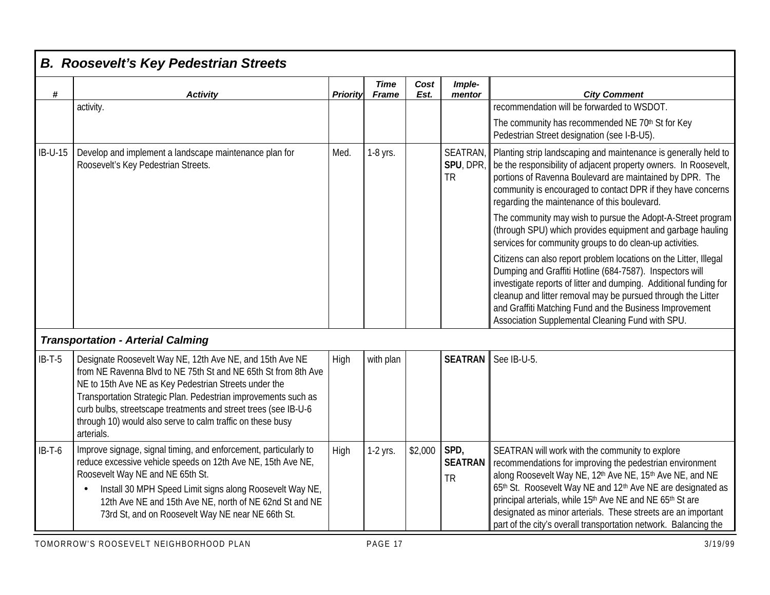| #        | <b>Activity</b>                                                                                                                                                                                                                                                                                                                                                                                      | <b>Priority</b> | <b>Time</b><br><b>Frame</b> | Cost<br>Est. | Imple-<br>mentor                        | <b>City Comment</b>                                                                                                                                                                                                                                                                                                                                                                                                                      |
|----------|------------------------------------------------------------------------------------------------------------------------------------------------------------------------------------------------------------------------------------------------------------------------------------------------------------------------------------------------------------------------------------------------------|-----------------|-----------------------------|--------------|-----------------------------------------|------------------------------------------------------------------------------------------------------------------------------------------------------------------------------------------------------------------------------------------------------------------------------------------------------------------------------------------------------------------------------------------------------------------------------------------|
|          | activity.                                                                                                                                                                                                                                                                                                                                                                                            |                 |                             |              |                                         | recommendation will be forwarded to WSDOT.                                                                                                                                                                                                                                                                                                                                                                                               |
|          |                                                                                                                                                                                                                                                                                                                                                                                                      |                 |                             |              |                                         | The community has recommended NE 70th St for Key<br>Pedestrian Street designation (see I-B-U5).                                                                                                                                                                                                                                                                                                                                          |
| IB-U-15  | Develop and implement a landscape maintenance plan for<br>Roosevelt's Key Pedestrian Streets.                                                                                                                                                                                                                                                                                                        | Med.            | 1-8 yrs.                    |              | <b>SEATRAN</b><br>SPU, DPR<br><b>TR</b> | Planting strip landscaping and maintenance is generally held to<br>be the responsibility of adjacent property owners. In Roosevelt,<br>portions of Ravenna Boulevard are maintained by DPR. The<br>community is encouraged to contact DPR if they have concerns<br>regarding the maintenance of this boulevard.                                                                                                                          |
|          |                                                                                                                                                                                                                                                                                                                                                                                                      |                 |                             |              |                                         | The community may wish to pursue the Adopt-A-Street program<br>(through SPU) which provides equipment and garbage hauling<br>services for community groups to do clean-up activities.                                                                                                                                                                                                                                                    |
|          |                                                                                                                                                                                                                                                                                                                                                                                                      |                 |                             |              |                                         | Citizens can also report problem locations on the Litter, Illegal<br>Dumping and Graffiti Hotline (684-7587). Inspectors will<br>investigate reports of litter and dumping. Additional funding for<br>cleanup and litter removal may be pursued through the Litter<br>and Graffiti Matching Fund and the Business Improvement<br>Association Supplemental Cleaning Fund with SPU.                                                        |
|          | <b>Transportation - Arterial Calming</b>                                                                                                                                                                                                                                                                                                                                                             |                 |                             |              |                                         |                                                                                                                                                                                                                                                                                                                                                                                                                                          |
| $IB-T-5$ | Designate Roosevelt Way NE, 12th Ave NE, and 15th Ave NE<br>from NE Ravenna Blvd to NE 75th St and NE 65th St from 8th Ave<br>NE to 15th Ave NE as Key Pedestrian Streets under the<br>Transportation Strategic Plan. Pedestrian improvements such as<br>curb bulbs, streetscape treatments and street trees (see IB-U-6<br>through 10) would also serve to calm traffic on these busy<br>arterials. | High            | with plan                   |              | <b>SEATRAN</b>                          | See IB-U-5.                                                                                                                                                                                                                                                                                                                                                                                                                              |
| $IB-T-6$ | Improve signage, signal timing, and enforcement, particularly to<br>reduce excessive vehicle speeds on 12th Ave NE, 15th Ave NE,<br>Roosevelt Way NE and NE 65th St.<br>Install 30 MPH Speed Limit signs along Roosevelt Way NE,<br>12th Ave NE and 15th Ave NE, north of NE 62nd St and NE<br>73rd St, and on Roosevelt Way NE near NE 66th St.                                                     | High            | 1-2 yrs.                    | \$2,000      | SPD,<br><b>SEATRAN</b><br><b>TR</b>     | SEATRAN will work with the community to explore<br>recommendations for improving the pedestrian environment<br>along Roosevelt Way NE, 12th Ave NE, 15th Ave NE, and NE<br>65th St. Roosevelt Way NE and 12th Ave NE are designated as<br>principal arterials, while 15th Ave NE and NE 65th St are<br>designated as minor arterials. These streets are an important<br>part of the city's overall transportation network. Balancing the |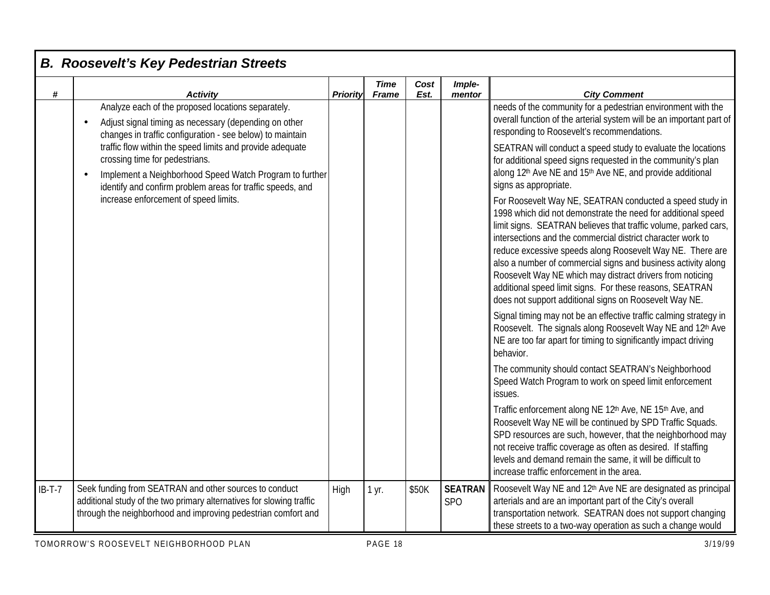| #        | <b>Activity</b>                                                                                                                                                                                                      | <b>Priority</b> | <b>Time</b><br><b>Frame</b> | Cost<br>Est. | Imple-<br>mentor                  | <b>City Comment</b>                                                                                                                                                                                                                                                                                                                                                                                                                                                                                                                                                         |
|----------|----------------------------------------------------------------------------------------------------------------------------------------------------------------------------------------------------------------------|-----------------|-----------------------------|--------------|-----------------------------------|-----------------------------------------------------------------------------------------------------------------------------------------------------------------------------------------------------------------------------------------------------------------------------------------------------------------------------------------------------------------------------------------------------------------------------------------------------------------------------------------------------------------------------------------------------------------------------|
|          | Analyze each of the proposed locations separately.<br>Adjust signal timing as necessary (depending on other<br>changes in traffic configuration - see below) to maintain                                             |                 |                             |              |                                   | needs of the community for a pedestrian environment with the<br>overall function of the arterial system will be an important part of<br>responding to Roosevelt's recommendations.                                                                                                                                                                                                                                                                                                                                                                                          |
|          | traffic flow within the speed limits and provide adequate<br>crossing time for pedestrians.<br>Implement a Neighborhood Speed Watch Program to further<br>identify and confirm problem areas for traffic speeds, and |                 |                             |              |                                   | SEATRAN will conduct a speed study to evaluate the locations<br>for additional speed signs requested in the community's plan<br>along 12th Ave NE and 15th Ave NE, and provide additional<br>signs as appropriate.                                                                                                                                                                                                                                                                                                                                                          |
|          | increase enforcement of speed limits.                                                                                                                                                                                |                 |                             |              |                                   | For Roosevelt Way NE, SEATRAN conducted a speed study in<br>1998 which did not demonstrate the need for additional speed<br>limit signs. SEATRAN believes that traffic volume, parked cars,<br>intersections and the commercial district character work to<br>reduce excessive speeds along Roosevelt Way NE. There are<br>also a number of commercial signs and business activity along<br>Roosevelt Way NE which may distract drivers from noticing<br>additional speed limit signs. For these reasons, SEATRAN<br>does not support additional signs on Roosevelt Way NE. |
|          |                                                                                                                                                                                                                      |                 |                             |              |                                   | Signal timing may not be an effective traffic calming strategy in<br>Roosevelt. The signals along Roosevelt Way NE and 12th Ave<br>NE are too far apart for timing to significantly impact driving<br>behavior.                                                                                                                                                                                                                                                                                                                                                             |
|          |                                                                                                                                                                                                                      |                 |                             |              |                                   | The community should contact SEATRAN's Neighborhood<br>Speed Watch Program to work on speed limit enforcement<br>issues.                                                                                                                                                                                                                                                                                                                                                                                                                                                    |
|          |                                                                                                                                                                                                                      |                 |                             |              |                                   | Traffic enforcement along NE 12th Ave, NE 15th Ave, and<br>Roosevelt Way NE will be continued by SPD Traffic Squads.<br>SPD resources are such, however, that the neighborhood may<br>not receive traffic coverage as often as desired. If staffing<br>levels and demand remain the same, it will be difficult to<br>increase traffic enforcement in the area.                                                                                                                                                                                                              |
| $IB-T-7$ | Seek funding from SEATRAN and other sources to conduct<br>additional study of the two primary alternatives for slowing traffic<br>through the neighborhood and improving pedestrian comfort and                      | High            | 1 yr.                       | \$50K        | <b>SEATRAN</b><br>SP <sub>O</sub> | Roosevelt Way NE and 12th Ave NE are designated as principal<br>arterials and are an important part of the City's overall<br>transportation network. SEATRAN does not support changing<br>these streets to a two-way operation as such a change would                                                                                                                                                                                                                                                                                                                       |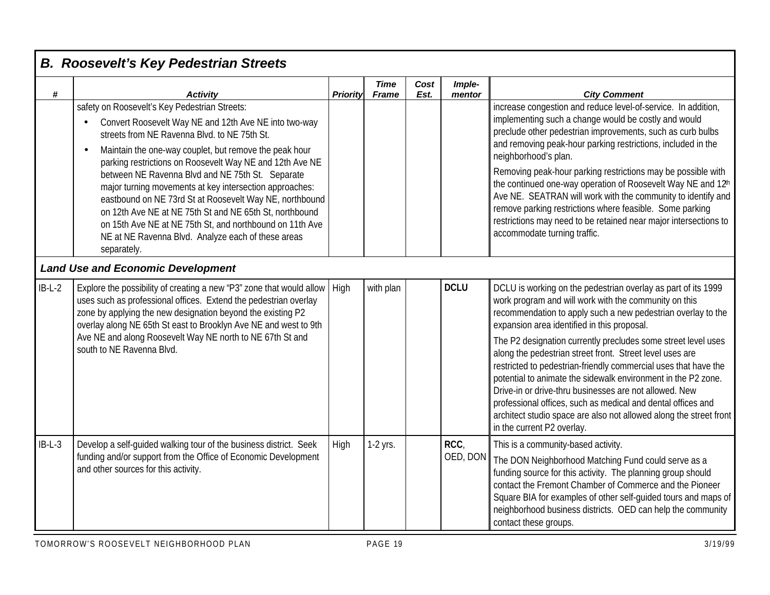| #        | <b>Activity</b>                                                                                                                                                                                                                                                                                                                                                                                                                                                                                       | <b>Priority</b> | <b>Time</b><br><b>Frame</b> | Cost<br>Est. | Imple-<br>mentor | <b>City Comment</b>                                                                                                                                                                                                                                                                                                                                                                                                                                                                         |
|----------|-------------------------------------------------------------------------------------------------------------------------------------------------------------------------------------------------------------------------------------------------------------------------------------------------------------------------------------------------------------------------------------------------------------------------------------------------------------------------------------------------------|-----------------|-----------------------------|--------------|------------------|---------------------------------------------------------------------------------------------------------------------------------------------------------------------------------------------------------------------------------------------------------------------------------------------------------------------------------------------------------------------------------------------------------------------------------------------------------------------------------------------|
|          | safety on Roosevelt's Key Pedestrian Streets:<br>Convert Roosevelt Way NE and 12th Ave NE into two-way<br>streets from NE Ravenna Blvd. to NE 75th St.                                                                                                                                                                                                                                                                                                                                                |                 |                             |              |                  | increase congestion and reduce level-of-service. In addition,<br>implementing such a change would be costly and would<br>preclude other pedestrian improvements, such as curb bulbs<br>and removing peak-hour parking restrictions, included in the                                                                                                                                                                                                                                         |
|          | Maintain the one-way couplet, but remove the peak hour<br>$\bullet$<br>parking restrictions on Roosevelt Way NE and 12th Ave NE<br>between NE Ravenna Blvd and NE 75th St. Separate<br>major turning movements at key intersection approaches:<br>eastbound on NE 73rd St at Roosevelt Way NE, northbound<br>on 12th Ave NE at NE 75th St and NE 65th St, northbound<br>on 15th Ave NE at NE 75th St, and northbound on 11th Ave<br>NE at NE Ravenna Blvd. Analyze each of these areas<br>separately. |                 |                             |              |                  | neighborhood's plan.<br>Removing peak-hour parking restrictions may be possible with<br>the continued one-way operation of Roosevelt Way NE and 12th<br>Ave NE. SEATRAN will work with the community to identify and<br>remove parking restrictions where feasible. Some parking<br>restrictions may need to be retained near major intersections to<br>accommodate turning traffic.                                                                                                        |
|          | <b>Land Use and Economic Development</b>                                                                                                                                                                                                                                                                                                                                                                                                                                                              |                 |                             |              |                  |                                                                                                                                                                                                                                                                                                                                                                                                                                                                                             |
| $IB-L-2$ | Explore the possibility of creating a new "P3" zone that would allow<br>uses such as professional offices. Extend the pedestrian overlay<br>zone by applying the new designation beyond the existing P2<br>overlay along NE 65th St east to Brooklyn Ave NE and west to 9th                                                                                                                                                                                                                           | High            | with plan                   |              | <b>DCLU</b>      | DCLU is working on the pedestrian overlay as part of its 1999<br>work program and will work with the community on this<br>recommendation to apply such a new pedestrian overlay to the<br>expansion area identified in this proposal.                                                                                                                                                                                                                                                       |
|          | Ave NE and along Roosevelt Way NE north to NE 67th St and<br>south to NE Ravenna Blvd.                                                                                                                                                                                                                                                                                                                                                                                                                |                 |                             |              |                  | The P2 designation currently precludes some street level uses<br>along the pedestrian street front. Street level uses are<br>restricted to pedestrian-friendly commercial uses that have the<br>potential to animate the sidewalk environment in the P2 zone.<br>Drive-in or drive-thru businesses are not allowed. New<br>professional offices, such as medical and dental offices and<br>architect studio space are also not allowed along the street front<br>in the current P2 overlay. |
| $IB-L-3$ | Develop a self-guided walking tour of the business district. Seek<br>funding and/or support from the Office of Economic Development<br>and other sources for this activity.                                                                                                                                                                                                                                                                                                                           | High            | 1-2 yrs.                    |              | RCC<br>OED, DON  | This is a community-based activity.<br>The DON Neighborhood Matching Fund could serve as a<br>funding source for this activity. The planning group should<br>contact the Fremont Chamber of Commerce and the Pioneer<br>Square BIA for examples of other self-guided tours and maps of<br>neighborhood business districts. OED can help the community<br>contact these groups.                                                                                                              |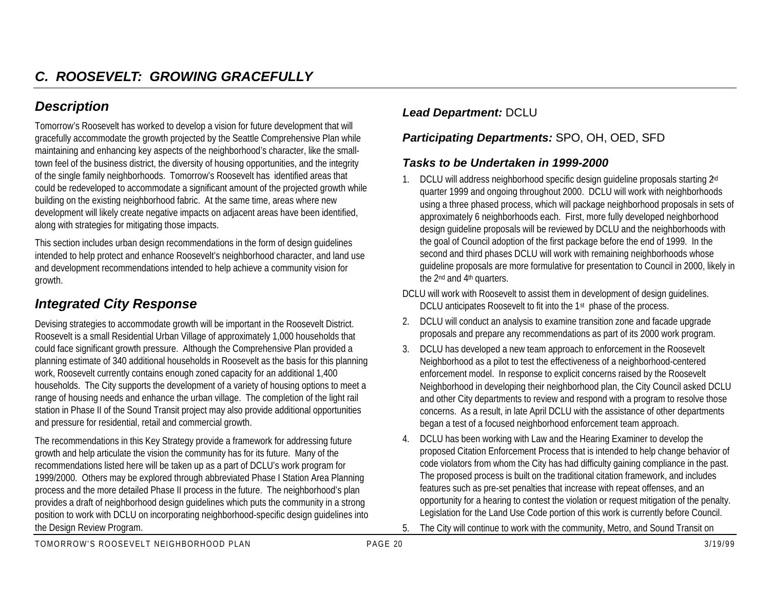## *Description*

Tomorrow's Roosevelt has worked to develop a vision for future development that will gracefully accommodate the growth projected by the Seattle Comprehensive Plan while maintaining and enhancing key aspects of the neighborhood's character, like the smalltown feel of the business district, the diversity of housing opportunities, and the integrity of the single family neighborhoods. Tomorrow's Roosevelt has identified areas that could be redeveloped to accommodate a significant amount of the projected growth while building on the existing neighborhood fabric. At the same time, areas where new development will likely create negative impacts on adjacent areas have been identified, along with strategies for mitigating those impacts.

This section includes urban design recommendations in the form of design guidelines intended to help protect and enhance Roosevelt's neighborhood character, and land use and development recommendations intended to help achieve a community vision for growth.

# *Integrated City Response*

Devising strategies to accommodate growth will be important in the Roosevelt District. Roosevelt is a small Residential Urban Village of approximately 1,000 households that could face significant growth pressure. Although the Comprehensive Plan provided a planning estimate of 340 additional households in Roosevelt as the basis for this planning work, Roosevelt currently contains enough zoned capacity for an additional 1,400 households. The City supports the development of a variety of housing options to meet a range of housing needs and enhance the urban village. The completion of the light rail station in Phase II of the Sound Transit project may also provide additional opportunities and pressure for residential, retail and commercial growth.

The recommendations in this Key Strategy provide a framework for addressing future growth and help articulate the vision the community has for its future. Many of the recommendations listed here will be taken up as a part of DCLU's work program for 1999/2000. Others may be explored through abbreviated Phase I Station Area Planning process and the more detailed Phase II process in the future. The neighborhood's plan provides a draft of neighborhood design guidelines which puts the community in a strong position to work with DCLU on incorporating neighborhood-specific design guidelines into the Design Review Program.

#### *Lead Department:* DCLU

#### *Participating Departments:* SPO, OH, OED, SFD

#### *Tasks to be Undertaken in 1999-2000*

- 1. DCLU will address neighborhood specific design quideline proposals starting 2<sup>nd</sup> quarter 1999 and ongoing throughout 2000. DCLU will work with neighborhoods using a three phased process, which will package neighborhood proposals in sets of approximately 6 neighborhoods each. First, more fully developed neighborhood design guideline proposals will be reviewed by DCLU and the neighborhoods with the goal of Council adoption of the first package before the end of 1999. In the second and third phases DCLU will work with remaining neighborhoods whose guideline proposals are more formulative for presentation to Council in 2000, likely in the 2<sup>nd</sup> and 4<sup>th</sup> quarters.
- DCLU will work with Roosevelt to assist them in development of design guidelines. DCLU anticipates Roosevelt to fit into the 1<sup>st</sup> phase of the process.
- 2. DCLU will conduct an analysis to examine transition zone and facade upgrade proposals and prepare any recommendations as part of its 2000 work program.
- 3. DCLU has developed a new team approach to enforcement in the Roosevelt Neighborhood as a pilot to test the effectiveness of a neighborhood-centered enforcement model. In response to explicit concerns raised by the Roosevelt Neighborhood in developing their neighborhood plan, the City Council asked DCLU and other City departments to review and respond with a program to resolve those concerns. As a result, in late April DCLU with the assistance of other departments began a test of a focused neighborhood enforcement team approach.
- 4. DCLU has been working with Law and the Hearing Examiner to develop the proposed Citation Enforcement Process that is intended to help change behavior of code violators from whom the City has had difficulty gaining compliance in the past. The proposed process is built on the traditional citation framework, and includes features such as pre-set penalties that increase with repeat offenses, and an opportunity for a hearing to contest the violation or request mitigation of the penalty. Legislation for the Land Use Code portion of this work is currently before Council.
- 5. The City will continue to work with the community, Metro, and Sound Transit on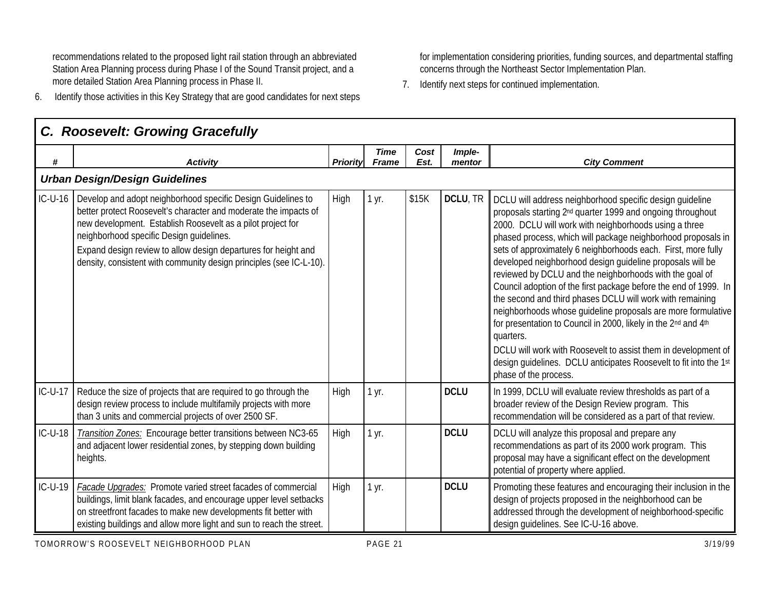recommendations related to the proposed light rail station through an abbreviated Station Area Planning process during Phase I of the Sound Transit project, and a more detailed Station Area Planning process in Phase II.

6. Identify those activities in this Key Strategy that are good candidates for next steps

for implementation considering priorities, funding sources, and departmental staffing concerns through the Northeast Sector Implementation Plan.

7. Identify next steps for continued implementation.

|           | C. Roosevelt: Growing Gracefully                                                                                                                                                                                                                                                                                                                                                     |          |                             |              |                  |                                                                                                                                                                                                                                                                                                                                                                                                                                                                                                                                                                                                                                                                                                                                                                                                                                                                                                      |
|-----------|--------------------------------------------------------------------------------------------------------------------------------------------------------------------------------------------------------------------------------------------------------------------------------------------------------------------------------------------------------------------------------------|----------|-----------------------------|--------------|------------------|------------------------------------------------------------------------------------------------------------------------------------------------------------------------------------------------------------------------------------------------------------------------------------------------------------------------------------------------------------------------------------------------------------------------------------------------------------------------------------------------------------------------------------------------------------------------------------------------------------------------------------------------------------------------------------------------------------------------------------------------------------------------------------------------------------------------------------------------------------------------------------------------------|
| #         | <b>Activity</b>                                                                                                                                                                                                                                                                                                                                                                      | Priority | <b>Time</b><br><b>Frame</b> | Cost<br>Est. | Imple-<br>mentor | <b>City Comment</b>                                                                                                                                                                                                                                                                                                                                                                                                                                                                                                                                                                                                                                                                                                                                                                                                                                                                                  |
|           | <b>Urban Design/Design Guidelines</b>                                                                                                                                                                                                                                                                                                                                                |          |                             |              |                  |                                                                                                                                                                                                                                                                                                                                                                                                                                                                                                                                                                                                                                                                                                                                                                                                                                                                                                      |
| $IC-U-16$ | Develop and adopt neighborhood specific Design Guidelines to<br>better protect Roosevelt's character and moderate the impacts of<br>new development. Establish Roosevelt as a pilot project for<br>neighborhood specific Design guidelines.<br>Expand design review to allow design departures for height and<br>density, consistent with community design principles (see IC-L-10). | High     | 1 yr.                       | \$15K        | DCLU, TR         | DCLU will address neighborhood specific design quideline<br>proposals starting 2 <sup>nd</sup> quarter 1999 and ongoing throughout<br>2000. DCLU will work with neighborhoods using a three<br>phased process, which will package neighborhood proposals in<br>sets of approximately 6 neighborhoods each. First, more fully<br>developed neighborhood design guideline proposals will be<br>reviewed by DCLU and the neighborhoods with the goal of<br>Council adoption of the first package before the end of 1999. In<br>the second and third phases DCLU will work with remaining<br>neighborhoods whose guideline proposals are more formulative<br>for presentation to Council in 2000, likely in the 2nd and 4th<br>quarters.<br>DCLU will work with Roosevelt to assist them in development of<br>design guidelines. DCLU anticipates Roosevelt to fit into the 1st<br>phase of the process. |
| $IC-U-17$ | Reduce the size of projects that are required to go through the<br>design review process to include multifamily projects with more<br>than 3 units and commercial projects of over 2500 SF.                                                                                                                                                                                          | High     | 1 yr.                       |              | <b>DCLU</b>      | In 1999, DCLU will evaluate review thresholds as part of a<br>broader review of the Design Review program. This<br>recommendation will be considered as a part of that review.                                                                                                                                                                                                                                                                                                                                                                                                                                                                                                                                                                                                                                                                                                                       |
| IC-U-18   | Transition Zones: Encourage better transitions between NC3-65<br>and adjacent lower residential zones, by stepping down building<br>heights.                                                                                                                                                                                                                                         | High     | 1 yr.                       |              | <b>DCLU</b>      | DCLU will analyze this proposal and prepare any<br>recommendations as part of its 2000 work program. This<br>proposal may have a significant effect on the development<br>potential of property where applied.                                                                                                                                                                                                                                                                                                                                                                                                                                                                                                                                                                                                                                                                                       |
| $IC-U-19$ | Facade Upgrades: Promote varied street facades of commercial<br>buildings, limit blank facades, and encourage upper level setbacks<br>on streetfront facades to make new developments fit better with<br>existing buildings and allow more light and sun to reach the street.                                                                                                        | High     | 1 yr.                       |              | <b>DCLU</b>      | Promoting these features and encouraging their inclusion in the<br>design of projects proposed in the neighborhood can be<br>addressed through the development of neighborhood-specific<br>design quidelines. See IC-U-16 above.                                                                                                                                                                                                                                                                                                                                                                                                                                                                                                                                                                                                                                                                     |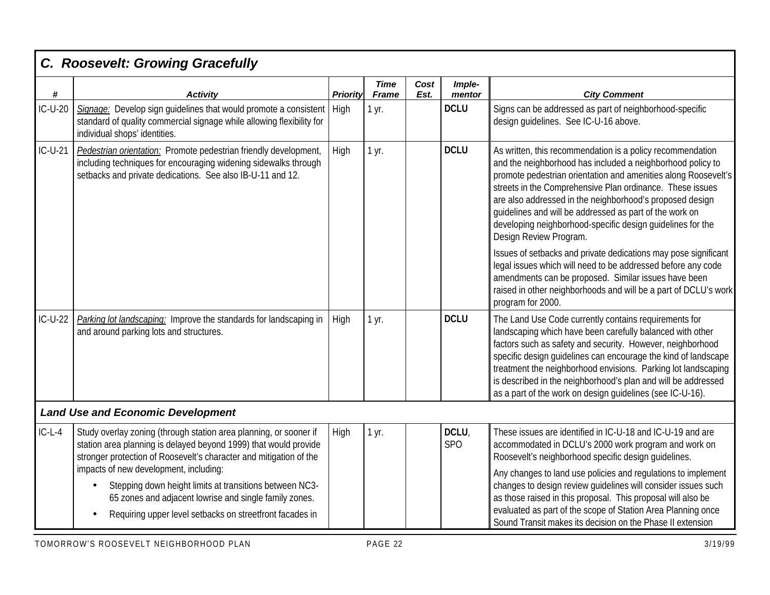| $\pmb{\#}$ | <b>Activity</b>                                                                                                                                                                                                         | Priority | <b>Time</b><br><b>Frame</b> | Cost<br>Est. | Imple-<br>mentor    | <b>City Comment</b>                                                                                                                                                                                                                                                                                                                                                                                                                                                                                                                                                                                                                                                                                                                                       |
|------------|-------------------------------------------------------------------------------------------------------------------------------------------------------------------------------------------------------------------------|----------|-----------------------------|--------------|---------------------|-----------------------------------------------------------------------------------------------------------------------------------------------------------------------------------------------------------------------------------------------------------------------------------------------------------------------------------------------------------------------------------------------------------------------------------------------------------------------------------------------------------------------------------------------------------------------------------------------------------------------------------------------------------------------------------------------------------------------------------------------------------|
| IC-U-20    | Signage: Develop sign guidelines that would promote a consistent<br>standard of quality commercial signage while allowing flexibility for<br>individual shops' identities.                                              | High     | 1 yr.                       |              | <b>DCLU</b>         | Signs can be addressed as part of neighborhood-specific<br>design guidelines. See IC-U-16 above.                                                                                                                                                                                                                                                                                                                                                                                                                                                                                                                                                                                                                                                          |
| $IC-U-21$  | Pedestrian orientation: Promote pedestrian friendly development,<br>including techniques for encouraging widening sidewalks through<br>setbacks and private dedications. See also IB-U-11 and 12.                       | High     | 1 yr.                       |              | <b>DCLU</b>         | As written, this recommendation is a policy recommendation<br>and the neighborhood has included a neighborhood policy to<br>promote pedestrian orientation and amenities along Roosevelt's<br>streets in the Comprehensive Plan ordinance. These issues<br>are also addressed in the neighborhood's proposed design<br>quidelines and will be addressed as part of the work on<br>developing neighborhood-specific design guidelines for the<br>Design Review Program.<br>Issues of setbacks and private dedications may pose significant<br>legal issues which will need to be addressed before any code<br>amendments can be proposed. Similar issues have been<br>raised in other neighborhoods and will be a part of DCLU's work<br>program for 2000. |
| $IC-U-22$  | Parking lot landscaping: Improve the standards for landscaping in<br>and around parking lots and structures.                                                                                                            | High     | 1 yr.                       |              | <b>DCLU</b>         | The Land Use Code currently contains requirements for<br>landscaping which have been carefully balanced with other<br>factors such as safety and security. However, neighborhood<br>specific design guidelines can encourage the kind of landscape<br>treatment the neighborhood envisions. Parking lot landscaping<br>is described in the neighborhood's plan and will be addressed<br>as a part of the work on design quidelines (see IC-U-16).                                                                                                                                                                                                                                                                                                         |
|            | <b>Land Use and Economic Development</b>                                                                                                                                                                                |          |                             |              |                     |                                                                                                                                                                                                                                                                                                                                                                                                                                                                                                                                                                                                                                                                                                                                                           |
| $IC-L-4$   | Study overlay zoning (through station area planning, or sooner if<br>station area planning is delayed beyond 1999) that would provide<br>stronger protection of Roosevelt's character and mitigation of the             | High     | 1 yr.                       |              | DCLU,<br><b>SPO</b> | These issues are identified in IC-U-18 and IC-U-19 and are<br>accommodated in DCLU's 2000 work program and work on<br>Roosevelt's neighborhood specific design quidelines.                                                                                                                                                                                                                                                                                                                                                                                                                                                                                                                                                                                |
|            | impacts of new development, including:<br>Stepping down height limits at transitions between NC3-<br>65 zones and adjacent lowrise and single family zones.<br>Requiring upper level setbacks on streetfront facades in |          |                             |              |                     | Any changes to land use policies and regulations to implement<br>changes to design review guidelines will consider issues such<br>as those raised in this proposal. This proposal will also be<br>evaluated as part of the scope of Station Area Planning once<br>Sound Transit makes its decision on the Phase II extension                                                                                                                                                                                                                                                                                                                                                                                                                              |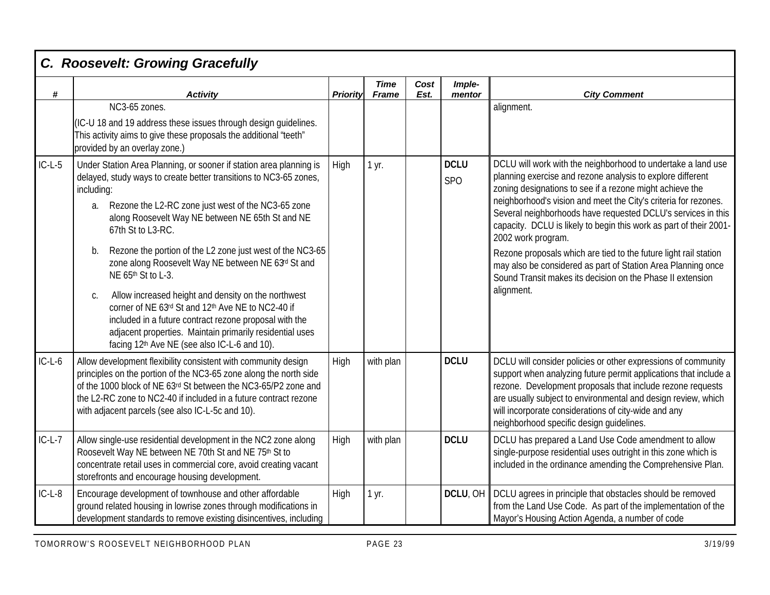| $\#$     | <b>Activity</b>                                                                                                                                                                                                                                                                                                                                                                                                                                                                                                                                                                                                                                                                                                                   | <b>Priority</b> | <b>Time</b><br><b>Frame</b> | Cost<br>Est. | Imple-<br>mentor          | <b>City Comment</b>                                                                                                                                                                                                                                                                                                                                                                                                                                                                                                                                                                                                                   |
|----------|-----------------------------------------------------------------------------------------------------------------------------------------------------------------------------------------------------------------------------------------------------------------------------------------------------------------------------------------------------------------------------------------------------------------------------------------------------------------------------------------------------------------------------------------------------------------------------------------------------------------------------------------------------------------------------------------------------------------------------------|-----------------|-----------------------------|--------------|---------------------------|---------------------------------------------------------------------------------------------------------------------------------------------------------------------------------------------------------------------------------------------------------------------------------------------------------------------------------------------------------------------------------------------------------------------------------------------------------------------------------------------------------------------------------------------------------------------------------------------------------------------------------------|
|          | NC3-65 zones.<br>(IC-U 18 and 19 address these issues through design guidelines.<br>This activity aims to give these proposals the additional "teeth"<br>provided by an overlay zone.)                                                                                                                                                                                                                                                                                                                                                                                                                                                                                                                                            |                 |                             |              |                           | alignment.                                                                                                                                                                                                                                                                                                                                                                                                                                                                                                                                                                                                                            |
| $IC-L-5$ | Under Station Area Planning, or sooner if station area planning is<br>delayed, study ways to create better transitions to NC3-65 zones,<br>including:<br>Rezone the L2-RC zone just west of the NC3-65 zone<br>a.<br>along Roosevelt Way NE between NE 65th St and NE<br>67th St to L3-RC.<br>Rezone the portion of the L2 zone just west of the NC3-65<br>b.<br>zone along Roosevelt Way NE between NE 63rd St and<br>NE 65th St to L-3.<br>Allow increased height and density on the northwest<br>C.<br>corner of NE 63rd St and 12th Ave NE to NC2-40 if<br>included in a future contract rezone proposal with the<br>adjacent properties. Maintain primarily residential uses<br>facing 12th Ave NE (see also IC-L-6 and 10). | High            | 1 yr.                       |              | <b>DCLU</b><br><b>SPO</b> | DCLU will work with the neighborhood to undertake a land use<br>planning exercise and rezone analysis to explore different<br>zoning designations to see if a rezone might achieve the<br>neighborhood's vision and meet the City's criteria for rezones.<br>Several neighborhoods have requested DCLU's services in this<br>capacity. DCLU is likely to begin this work as part of their 2001-<br>2002 work program.<br>Rezone proposals which are tied to the future light rail station<br>may also be considered as part of Station Area Planning once<br>Sound Transit makes its decision on the Phase II extension<br>alignment. |
| $IC-L-6$ | Allow development flexibility consistent with community design<br>principles on the portion of the NC3-65 zone along the north side<br>of the 1000 block of NE 63rd St between the NC3-65/P2 zone and<br>the L2-RC zone to NC2-40 if included in a future contract rezone<br>with adjacent parcels (see also IC-L-5c and 10).                                                                                                                                                                                                                                                                                                                                                                                                     |                 | with plan                   |              | <b>DCLU</b>               | DCLU will consider policies or other expressions of community<br>support when analyzing future permit applications that include a<br>rezone. Development proposals that include rezone requests<br>are usually subject to environmental and design review, which<br>will incorporate considerations of city-wide and any<br>neighborhood specific design guidelines.                                                                                                                                                                                                                                                                  |
| $IC-L-7$ | Allow single-use residential development in the NC2 zone along<br>Roosevelt Way NE between NE 70th St and NE 75th St to<br>concentrate retail uses in commercial core, avoid creating vacant<br>storefronts and encourage housing development.                                                                                                                                                                                                                                                                                                                                                                                                                                                                                    | High            | with plan                   |              | <b>DCLU</b>               | DCLU has prepared a Land Use Code amendment to allow<br>single-purpose residential uses outright in this zone which is<br>included in the ordinance amending the Comprehensive Plan.                                                                                                                                                                                                                                                                                                                                                                                                                                                  |
| $IC-L-8$ | Encourage development of townhouse and other affordable<br>ground related housing in lowrise zones through modifications in<br>development standards to remove existing disincentives, including                                                                                                                                                                                                                                                                                                                                                                                                                                                                                                                                  | High            | 1 yr.                       |              | DCLU, OH                  | DCLU agrees in principle that obstacles should be removed<br>from the Land Use Code. As part of the implementation of the<br>Mayor's Housing Action Agenda, a number of code                                                                                                                                                                                                                                                                                                                                                                                                                                                          |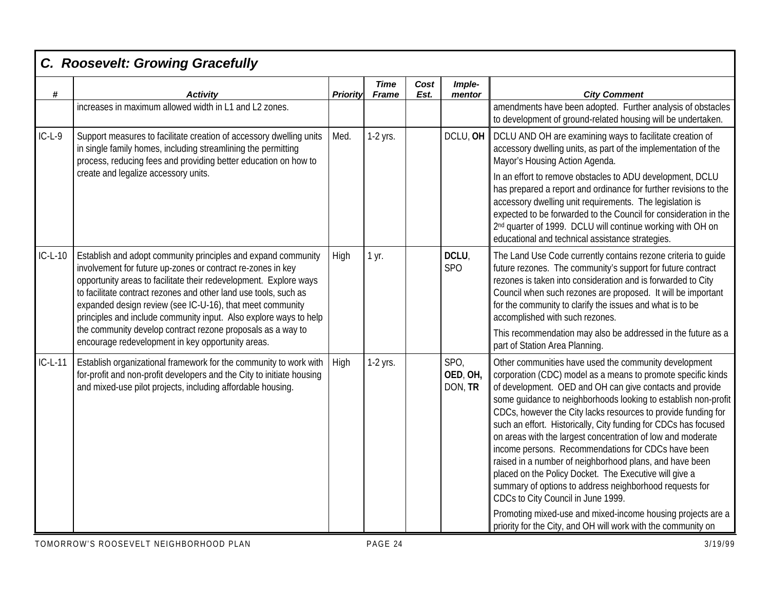| #         | <b>Activity</b>                                                                                                                                                                                                                                                                                                                                                                                                                                                        | <b>Priority</b> | <b>Time</b><br><b>Frame</b> | Cost<br>Est. | Imple-<br>mentor            | <b>City Comment</b>                                                                                                                                                                                                                                                                                                                                                                                                                                                                                                                                                                                                                                                                                                                |
|-----------|------------------------------------------------------------------------------------------------------------------------------------------------------------------------------------------------------------------------------------------------------------------------------------------------------------------------------------------------------------------------------------------------------------------------------------------------------------------------|-----------------|-----------------------------|--------------|-----------------------------|------------------------------------------------------------------------------------------------------------------------------------------------------------------------------------------------------------------------------------------------------------------------------------------------------------------------------------------------------------------------------------------------------------------------------------------------------------------------------------------------------------------------------------------------------------------------------------------------------------------------------------------------------------------------------------------------------------------------------------|
|           | increases in maximum allowed width in L1 and L2 zones.                                                                                                                                                                                                                                                                                                                                                                                                                 |                 |                             |              |                             | amendments have been adopted. Further analysis of obstacles<br>to development of ground-related housing will be undertaken.                                                                                                                                                                                                                                                                                                                                                                                                                                                                                                                                                                                                        |
| $IC-L-9$  | Support measures to facilitate creation of accessory dwelling units<br>in single family homes, including streamlining the permitting<br>process, reducing fees and providing better education on how to                                                                                                                                                                                                                                                                | Med.            | $1-2$ yrs.                  |              | DCLU, OH                    | DCLU AND OH are examining ways to facilitate creation of<br>accessory dwelling units, as part of the implementation of the<br>Mayor's Housing Action Agenda.                                                                                                                                                                                                                                                                                                                                                                                                                                                                                                                                                                       |
|           | create and legalize accessory units.                                                                                                                                                                                                                                                                                                                                                                                                                                   |                 |                             |              |                             | In an effort to remove obstacles to ADU development, DCLU<br>has prepared a report and ordinance for further revisions to the<br>accessory dwelling unit requirements. The legislation is<br>expected to be forwarded to the Council for consideration in the<br>2 <sup>nd</sup> quarter of 1999. DCLU will continue working with OH on<br>educational and technical assistance strategies.                                                                                                                                                                                                                                                                                                                                        |
| $IC-L-10$ | Establish and adopt community principles and expand community<br>involvement for future up-zones or contract re-zones in key<br>opportunity areas to facilitate their redevelopment. Explore ways<br>to facilitate contract rezones and other land use tools, such as<br>expanded design review (see IC-U-16), that meet community<br>principles and include community input. Also explore ways to help<br>the community develop contract rezone proposals as a way to | High            | 1 yr.                       |              | DCLU,<br>SP <sub>O</sub>    | The Land Use Code currently contains rezone criteria to guide<br>future rezones. The community's support for future contract<br>rezones is taken into consideration and is forwarded to City<br>Council when such rezones are proposed. It will be important<br>for the community to clarify the issues and what is to be<br>accomplished with such rezones.                                                                                                                                                                                                                                                                                                                                                                       |
|           | encourage redevelopment in key opportunity areas.                                                                                                                                                                                                                                                                                                                                                                                                                      |                 |                             |              |                             | This recommendation may also be addressed in the future as a<br>part of Station Area Planning.                                                                                                                                                                                                                                                                                                                                                                                                                                                                                                                                                                                                                                     |
| $IC-L-11$ | Establish organizational framework for the community to work with<br>for-profit and non-profit developers and the City to initiate housing<br>and mixed-use pilot projects, including affordable housing.                                                                                                                                                                                                                                                              | High            | 1-2 yrs.                    |              | SPO,<br>OED, OH,<br>DON, TR | Other communities have used the community development<br>corporation (CDC) model as a means to promote specific kinds<br>of development. OED and OH can give contacts and provide<br>some quidance to neighborhoods looking to establish non-profit<br>CDCs, however the City lacks resources to provide funding for<br>such an effort. Historically, City funding for CDCs has focused<br>on areas with the largest concentration of low and moderate<br>income persons. Recommendations for CDCs have been<br>raised in a number of neighborhood plans, and have been<br>placed on the Policy Docket. The Executive will give a<br>summary of options to address neighborhood requests for<br>CDCs to City Council in June 1999. |
|           |                                                                                                                                                                                                                                                                                                                                                                                                                                                                        |                 |                             |              |                             | Promoting mixed-use and mixed-income housing projects are a<br>priority for the City, and OH will work with the community on                                                                                                                                                                                                                                                                                                                                                                                                                                                                                                                                                                                                       |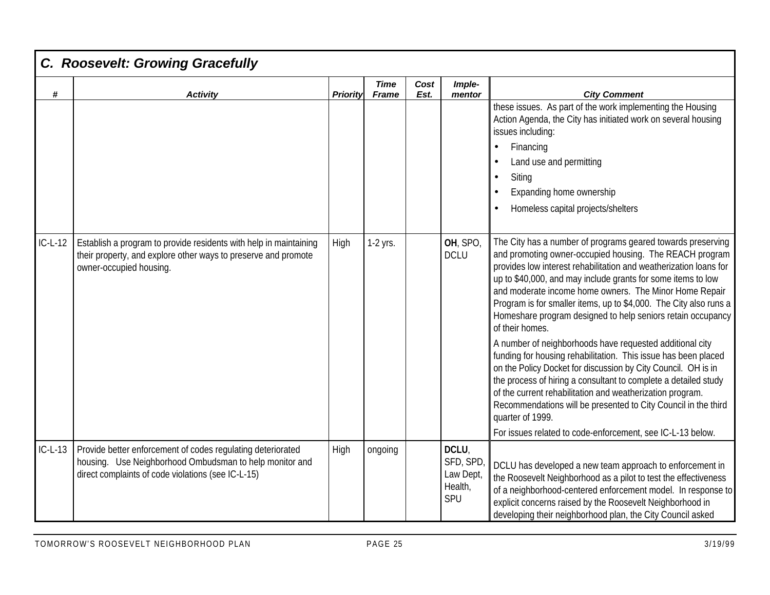|           | C. Roosevelt: Growing Gracefully                                                                                                                                             |                 |                             |              |                                                  |                                                                                                                                                                                                                                                                                                                                                                                                                                                                                                                                                                                                                                                                                                                                                                                                                                                                                                                                                                 |
|-----------|------------------------------------------------------------------------------------------------------------------------------------------------------------------------------|-----------------|-----------------------------|--------------|--------------------------------------------------|-----------------------------------------------------------------------------------------------------------------------------------------------------------------------------------------------------------------------------------------------------------------------------------------------------------------------------------------------------------------------------------------------------------------------------------------------------------------------------------------------------------------------------------------------------------------------------------------------------------------------------------------------------------------------------------------------------------------------------------------------------------------------------------------------------------------------------------------------------------------------------------------------------------------------------------------------------------------|
| #         | <b>Activity</b>                                                                                                                                                              | <b>Priority</b> | <b>Time</b><br><b>Frame</b> | Cost<br>Est. | Imple-<br>mentor                                 | <b>City Comment</b>                                                                                                                                                                                                                                                                                                                                                                                                                                                                                                                                                                                                                                                                                                                                                                                                                                                                                                                                             |
|           |                                                                                                                                                                              |                 |                             |              |                                                  | these issues. As part of the work implementing the Housing<br>Action Agenda, the City has initiated work on several housing<br>issues including:<br>Financing<br>$\bullet$<br>Land use and permitting<br>Siting<br>$\bullet$<br>Expanding home ownership<br>Homeless capital projects/shelters                                                                                                                                                                                                                                                                                                                                                                                                                                                                                                                                                                                                                                                                  |
| $IC-L-12$ | Establish a program to provide residents with help in maintaining<br>their property, and explore other ways to preserve and promote<br>owner-occupied housing.               | High            | 1-2 yrs.                    |              | OH, SPO<br><b>DCLU</b>                           | The City has a number of programs geared towards preserving<br>and promoting owner-occupied housing. The REACH program<br>provides low interest rehabilitation and weatherization loans for<br>up to \$40,000, and may include grants for some items to low<br>and moderate income home owners. The Minor Home Repair<br>Program is for smaller items, up to \$4,000. The City also runs a<br>Homeshare program designed to help seniors retain occupancy<br>of their homes.<br>A number of neighborhoods have requested additional city<br>funding for housing rehabilitation. This issue has been placed<br>on the Policy Docket for discussion by City Council. OH is in<br>the process of hiring a consultant to complete a detailed study<br>of the current rehabilitation and weatherization program.<br>Recommendations will be presented to City Council in the third<br>quarter of 1999.<br>For issues related to code-enforcement, see IC-L-13 below. |
| $IC-L-13$ | Provide better enforcement of codes regulating deteriorated<br>housing. Use Neighborhood Ombudsman to help monitor and<br>direct complaints of code violations (see IC-L-15) | High            | ongoing                     |              | DCLU,<br>SFD, SPD<br>Law Dept,<br>Health,<br>SPU | DCLU has developed a new team approach to enforcement in<br>the Roosevelt Neighborhood as a pilot to test the effectiveness<br>of a neighborhood-centered enforcement model. In response to<br>explicit concerns raised by the Roosevelt Neighborhood in<br>developing their neighborhood plan, the City Council asked                                                                                                                                                                                                                                                                                                                                                                                                                                                                                                                                                                                                                                          |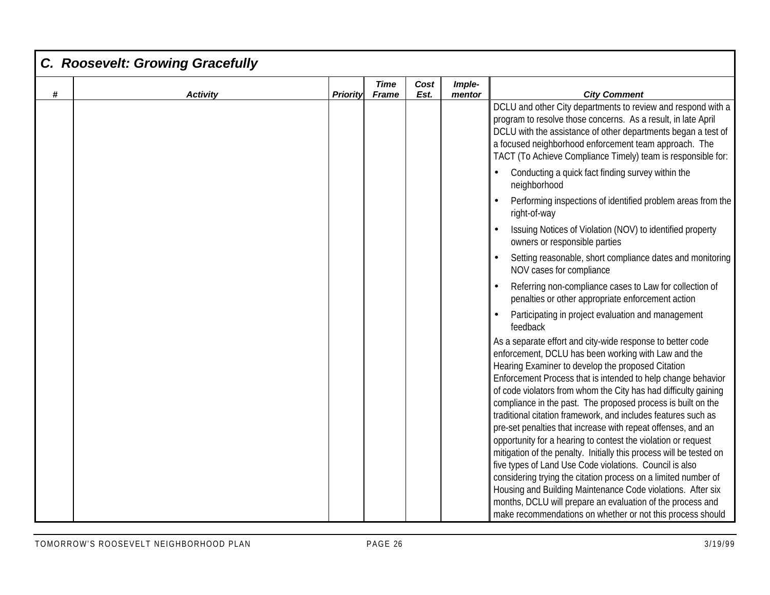| C. Roosevelt: Growing Gracefully |                 |                             |              |                  |                                                                                                                                                                                                                                                                                                                                                                                                                                                                                                                                                                                                                                                                                                                                                                                                                                                                                                              |
|----------------------------------|-----------------|-----------------------------|--------------|------------------|--------------------------------------------------------------------------------------------------------------------------------------------------------------------------------------------------------------------------------------------------------------------------------------------------------------------------------------------------------------------------------------------------------------------------------------------------------------------------------------------------------------------------------------------------------------------------------------------------------------------------------------------------------------------------------------------------------------------------------------------------------------------------------------------------------------------------------------------------------------------------------------------------------------|
|                                  | <b>Priority</b> | <b>Time</b><br><b>Frame</b> | Cost<br>Est. | Imple-<br>mentor | <b>City Comment</b>                                                                                                                                                                                                                                                                                                                                                                                                                                                                                                                                                                                                                                                                                                                                                                                                                                                                                          |
|                                  |                 |                             |              |                  | DCLU and other City departments to review and respond with a<br>program to resolve those concerns. As a result, in late April<br>DCLU with the assistance of other departments began a test of<br>a focused neighborhood enforcement team approach. The<br>TACT (To Achieve Compliance Timely) team is responsible for:                                                                                                                                                                                                                                                                                                                                                                                                                                                                                                                                                                                      |
|                                  |                 |                             |              |                  | Conducting a quick fact finding survey within the<br>neighborhood                                                                                                                                                                                                                                                                                                                                                                                                                                                                                                                                                                                                                                                                                                                                                                                                                                            |
|                                  |                 |                             |              |                  | Performing inspections of identified problem areas from the<br>right-of-way                                                                                                                                                                                                                                                                                                                                                                                                                                                                                                                                                                                                                                                                                                                                                                                                                                  |
|                                  |                 |                             |              |                  | Issuing Notices of Violation (NOV) to identified property<br>owners or responsible parties                                                                                                                                                                                                                                                                                                                                                                                                                                                                                                                                                                                                                                                                                                                                                                                                                   |
|                                  |                 |                             |              |                  | Setting reasonable, short compliance dates and monitoring<br>NOV cases for compliance                                                                                                                                                                                                                                                                                                                                                                                                                                                                                                                                                                                                                                                                                                                                                                                                                        |
|                                  |                 |                             |              |                  | Referring non-compliance cases to Law for collection of<br>penalties or other appropriate enforcement action                                                                                                                                                                                                                                                                                                                                                                                                                                                                                                                                                                                                                                                                                                                                                                                                 |
|                                  |                 |                             |              |                  | Participating in project evaluation and management<br>feedback                                                                                                                                                                                                                                                                                                                                                                                                                                                                                                                                                                                                                                                                                                                                                                                                                                               |
|                                  |                 |                             |              |                  | As a separate effort and city-wide response to better code<br>enforcement, DCLU has been working with Law and the<br>Hearing Examiner to develop the proposed Citation<br>Enforcement Process that is intended to help change behavior<br>of code violators from whom the City has had difficulty gaining<br>compliance in the past. The proposed process is built on the<br>traditional citation framework, and includes features such as<br>pre-set penalties that increase with repeat offenses, and an<br>opportunity for a hearing to contest the violation or request<br>mitigation of the penalty. Initially this process will be tested on<br>five types of Land Use Code violations. Council is also<br>considering trying the citation process on a limited number of<br>Housing and Building Maintenance Code violations. After six<br>months, DCLU will prepare an evaluation of the process and |
|                                  | <b>Activity</b> |                             |              |                  |                                                                                                                                                                                                                                                                                                                                                                                                                                                                                                                                                                                                                                                                                                                                                                                                                                                                                                              |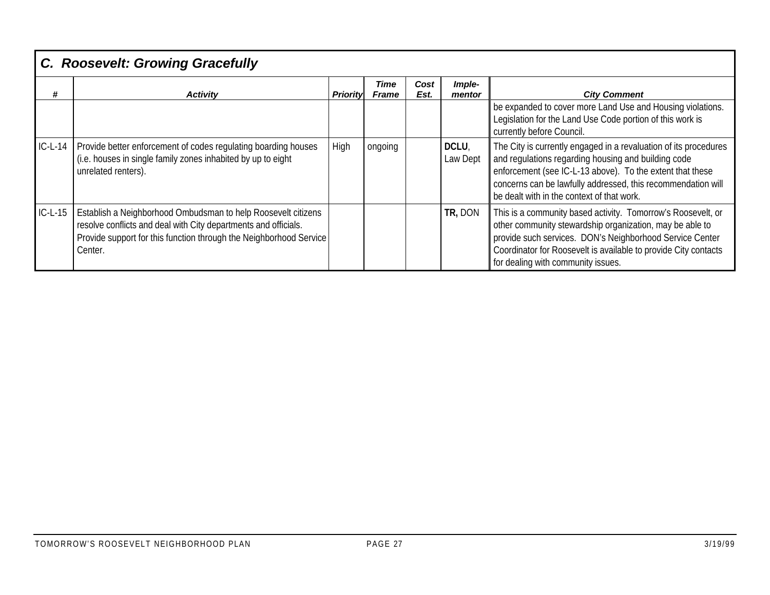|           | C. Roosevelt: Growing Gracefully                                                                                                                                                                                  |          |                      |              |                   |                                                                                                                                                                                                                                                                                                    |  |  |  |  |  |
|-----------|-------------------------------------------------------------------------------------------------------------------------------------------------------------------------------------------------------------------|----------|----------------------|--------------|-------------------|----------------------------------------------------------------------------------------------------------------------------------------------------------------------------------------------------------------------------------------------------------------------------------------------------|--|--|--|--|--|
| #         | <b>Activity</b>                                                                                                                                                                                                   | Priority | Time<br><b>Frame</b> | Cost<br>Est. | Imple-<br>mentor  | <b>City Comment</b>                                                                                                                                                                                                                                                                                |  |  |  |  |  |
|           |                                                                                                                                                                                                                   |          |                      |              |                   | be expanded to cover more Land Use and Housing violations.<br>Legislation for the Land Use Code portion of this work is<br>currently before Council.                                                                                                                                               |  |  |  |  |  |
| $IC-L-14$ | Provide better enforcement of codes regulating boarding houses<br>(i.e. houses in single family zones inhabited by up to eight<br>unrelated renters).                                                             | High     | ongoing              |              | DCLU,<br>Law Dept | The City is currently engaged in a revaluation of its procedures<br>and regulations regarding housing and building code<br>enforcement (see IC-L-13 above). To the extent that these<br>concerns can be lawfully addressed, this recommendation will<br>be dealt with in the context of that work. |  |  |  |  |  |
| $IC-L-15$ | Establish a Neighborhood Ombudsman to help Roosevelt citizens<br>resolve conflicts and deal with City departments and officials.<br>Provide support for this function through the Neighborhood Service<br>Center. |          |                      |              | TR, DON           | This is a community based activity. Tomorrow's Roosevelt, or<br>other community stewardship organization, may be able to<br>provide such services. DON's Neighborhood Service Center<br>Coordinator for Roosevelt is available to provide City contacts<br>for dealing with community issues.      |  |  |  |  |  |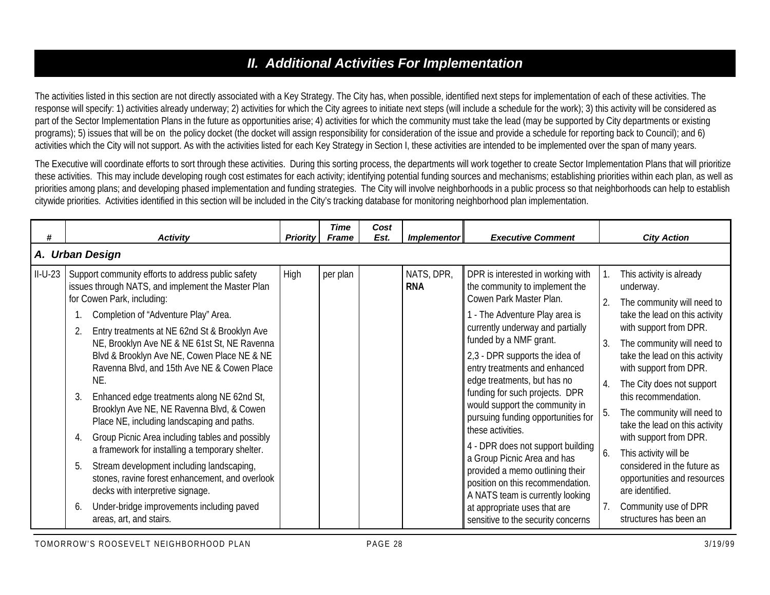## *II. Additional Activities For Implementation*

The activities listed in this section are not directly associated with a Key Strategy. The City has, when possible, identified next steps for implementation of each of these activities. The response will specify: 1) activities already underway; 2) activities for which the City agrees to initiate next steps (will include a schedule for the work); 3) this activity will be considered as part of the Sector Implementation Plans in the future as opportunities arise; 4) activities for which the community must take the lead (may be supported by City departments or existing programs); 5) issues that will be on the policy docket (the docket will assign responsibility for consideration of the issue and provide a schedule for reporting back to Council); and 6) activities which the City will not support. As with the activities listed for each Key Strategy in Section I, these activities are intended to be implemented over the span of many years.

The Executive will coordinate efforts to sort through these activities. During this sorting process, the departments will work together to create Sector Implementation Plans that will prioritize these activities. This may include developing rough cost estimates for each activity; identifying potential funding sources and mechanisms; establishing priorities within each plan, as well as priorities among plans; and developing phased implementation and funding strategies. The City will involve neighborhoods in a public process so that neighborhoods can help to establish citywide priorities. Activities identified in this section will be included in the City's tracking database for monitoring neighborhood plan implementation.

| #         | <b>Activity</b>                                                                                                                                                                                                                                                                                                                                                                                                                                                                                                                                                                                                                                                                                                                                                                                                                                                  | <b>Priority</b> | <b>Time</b><br><b>Frame</b> | Cost<br>Est. | <b>Implementor</b>       | <b>Executive Comment</b>                                                                                                                                                                                                                                                                                                                                                                                                                                                                                                                                                                                                                                                           |                                                  | <b>City Action</b>                                                                                                                                                                                                                                                                                                                                                                                                                                                                                                                   |  |  |  |  |  |
|-----------|------------------------------------------------------------------------------------------------------------------------------------------------------------------------------------------------------------------------------------------------------------------------------------------------------------------------------------------------------------------------------------------------------------------------------------------------------------------------------------------------------------------------------------------------------------------------------------------------------------------------------------------------------------------------------------------------------------------------------------------------------------------------------------------------------------------------------------------------------------------|-----------------|-----------------------------|--------------|--------------------------|------------------------------------------------------------------------------------------------------------------------------------------------------------------------------------------------------------------------------------------------------------------------------------------------------------------------------------------------------------------------------------------------------------------------------------------------------------------------------------------------------------------------------------------------------------------------------------------------------------------------------------------------------------------------------------|--------------------------------------------------|--------------------------------------------------------------------------------------------------------------------------------------------------------------------------------------------------------------------------------------------------------------------------------------------------------------------------------------------------------------------------------------------------------------------------------------------------------------------------------------------------------------------------------------|--|--|--|--|--|
|           | A. Urban Design                                                                                                                                                                                                                                                                                                                                                                                                                                                                                                                                                                                                                                                                                                                                                                                                                                                  |                 |                             |              |                          |                                                                                                                                                                                                                                                                                                                                                                                                                                                                                                                                                                                                                                                                                    |                                                  |                                                                                                                                                                                                                                                                                                                                                                                                                                                                                                                                      |  |  |  |  |  |
| $II-U-23$ | Support community efforts to address public safety<br>issues through NATS, and implement the Master Plan<br>for Cowen Park, including:<br>Completion of "Adventure Play" Area.<br>Entry treatments at NE 62nd St & Brooklyn Ave<br>NE, Brooklyn Ave NE & NE 61st St, NE Ravenna<br>Blvd & Brooklyn Ave NE, Cowen Place NE & NE<br>Ravenna Blvd, and 15th Ave NE & Cowen Place<br>NE.<br>Enhanced edge treatments along NE 62nd St,<br>3<br>Brooklyn Ave NE, NE Ravenna Blvd, & Cowen<br>Place NE, including landscaping and paths.<br>Group Picnic Area including tables and possibly<br>4.<br>a framework for installing a temporary shelter.<br>Stream development including landscaping,<br>5.<br>stones, ravine forest enhancement, and overlook<br>decks with interpretive signage.<br>Under-bridge improvements including paved<br>areas, art, and stairs. | High            | per plan                    |              | NATS, DPR,<br><b>RNA</b> | DPR is interested in working with<br>the community to implement the<br>Cowen Park Master Plan.<br>- The Adventure Play area is<br>currently underway and partially<br>funded by a NMF grant.<br>2,3 - DPR supports the idea of<br>entry treatments and enhanced<br>edge treatments, but has no<br>funding for such projects. DPR<br>would support the community in<br>pursuing funding opportunities for<br>these activities.<br>4 - DPR does not support building<br>a Group Picnic Area and has<br>provided a memo outlining their<br>position on this recommendation.<br>A NATS team is currently looking<br>at appropriate uses that are<br>sensitive to the security concerns | $\overline{2}$ .<br>3.<br>$\overline{4}$ .<br>6. | This activity is already<br>underway.<br>The community will need to<br>take the lead on this activity<br>with support from DPR.<br>The community will need to<br>take the lead on this activity<br>with support from DPR.<br>The City does not support<br>this recommendation.<br>The community will need to<br>take the lead on this activity<br>with support from DPR.<br>This activity will be<br>considered in the future as<br>opportunities and resources<br>are identified.<br>Community use of DPR<br>structures has been an |  |  |  |  |  |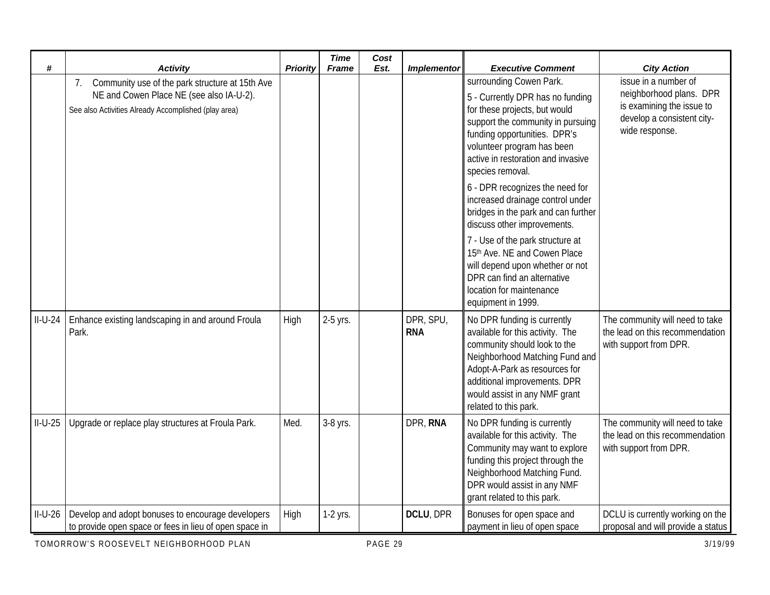| #         | <b>Activity</b>                                                                                                                                           | <b>Priority</b> | <b>Time</b><br><b>Frame</b> | Cost<br>Est. | <b>Implementor</b>      | <b>Executive Comment</b>                                                                                                                                                                                                                                                                                                                                                                                                                                                                                                                                                                       | <b>City Action</b>                                                                                                           |
|-----------|-----------------------------------------------------------------------------------------------------------------------------------------------------------|-----------------|-----------------------------|--------------|-------------------------|------------------------------------------------------------------------------------------------------------------------------------------------------------------------------------------------------------------------------------------------------------------------------------------------------------------------------------------------------------------------------------------------------------------------------------------------------------------------------------------------------------------------------------------------------------------------------------------------|------------------------------------------------------------------------------------------------------------------------------|
|           | Community use of the park structure at 15th Ave<br>7.<br>NE and Cowen Place NE (see also IA-U-2).<br>See also Activities Already Accomplished (play area) |                 |                             |              |                         | surrounding Cowen Park.<br>5 - Currently DPR has no funding<br>for these projects, but would<br>support the community in pursuing<br>funding opportunities. DPR's<br>volunteer program has been<br>active in restoration and invasive<br>species removal.<br>6 - DPR recognizes the need for<br>increased drainage control under<br>bridges in the park and can further<br>discuss other improvements.<br>7 - Use of the park structure at<br>15th Ave. NE and Cowen Place<br>will depend upon whether or not<br>DPR can find an alternative<br>location for maintenance<br>equipment in 1999. | issue in a number of<br>neighborhood plans. DPR<br>is examining the issue to<br>develop a consistent city-<br>wide response. |
| $II-U-24$ | Enhance existing landscaping in and around Froula<br>Park.                                                                                                | High            | 2-5 yrs.                    |              | DPR, SPU,<br><b>RNA</b> | No DPR funding is currently<br>available for this activity. The<br>community should look to the<br>Neighborhood Matching Fund and<br>Adopt-A-Park as resources for<br>additional improvements. DPR<br>would assist in any NMF grant<br>related to this park.                                                                                                                                                                                                                                                                                                                                   | The community will need to take<br>the lead on this recommendation<br>with support from DPR.                                 |
| $II-U-25$ | Upgrade or replace play structures at Froula Park.                                                                                                        | Med.            | 3-8 yrs.                    |              | DPR, RNA                | No DPR funding is currently<br>available for this activity. The<br>Community may want to explore<br>funding this project through the<br>Neighborhood Matching Fund.<br>DPR would assist in any NMF<br>grant related to this park.                                                                                                                                                                                                                                                                                                                                                              | The community will need to take<br>the lead on this recommendation<br>with support from DPR.                                 |
| $II-U-26$ | Develop and adopt bonuses to encourage developers<br>to provide open space or fees in lieu of open space in                                               | High            | 1-2 yrs.                    |              | DCLU, DPR               | Bonuses for open space and<br>payment in lieu of open space                                                                                                                                                                                                                                                                                                                                                                                                                                                                                                                                    | DCLU is currently working on the<br>proposal and will provide a status                                                       |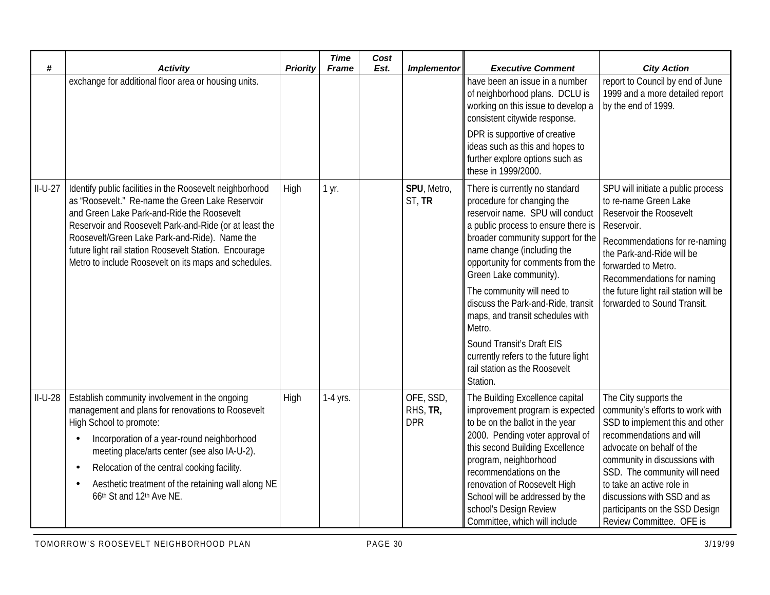| #         | <b>Activity</b>                                                                                                                                                                                                                                                                                                                                                                          | Priority | <b>Time</b><br><b>Frame</b> | Cost<br>Est. | <b>Implementor</b>                  | <b>Executive Comment</b>                                                                                                                                                                                                                                                                                                                                                                                                                                                                                      | <b>City Action</b>                                                                                                                                                                                                                                                                                                                               |
|-----------|------------------------------------------------------------------------------------------------------------------------------------------------------------------------------------------------------------------------------------------------------------------------------------------------------------------------------------------------------------------------------------------|----------|-----------------------------|--------------|-------------------------------------|---------------------------------------------------------------------------------------------------------------------------------------------------------------------------------------------------------------------------------------------------------------------------------------------------------------------------------------------------------------------------------------------------------------------------------------------------------------------------------------------------------------|--------------------------------------------------------------------------------------------------------------------------------------------------------------------------------------------------------------------------------------------------------------------------------------------------------------------------------------------------|
|           | exchange for additional floor area or housing units.                                                                                                                                                                                                                                                                                                                                     |          |                             |              |                                     | have been an issue in a number<br>of neighborhood plans. DCLU is<br>working on this issue to develop a<br>consistent citywide response.<br>DPR is supportive of creative<br>ideas such as this and hopes to<br>further explore options such as<br>these in 1999/2000.                                                                                                                                                                                                                                         | report to Council by end of June<br>1999 and a more detailed report<br>by the end of 1999.                                                                                                                                                                                                                                                       |
| $II-U-27$ | Identify public facilities in the Roosevelt neighborhood<br>as "Roosevelt." Re-name the Green Lake Reservoir<br>and Green Lake Park-and-Ride the Roosevelt<br>Reservoir and Roosevelt Park-and-Ride (or at least the<br>Roosevelt/Green Lake Park-and-Ride). Name the<br>future light rail station Roosevelt Station. Encourage<br>Metro to include Roosevelt on its maps and schedules. | High     | 1 yr.                       |              | SPU, Metro,<br>ST, TR               | There is currently no standard<br>procedure for changing the<br>reservoir name. SPU will conduct<br>a public process to ensure there is<br>broader community support for the<br>name change (including the<br>opportunity for comments from the<br>Green Lake community).<br>The community will need to<br>discuss the Park-and-Ride, transit<br>maps, and transit schedules with<br>Metro.<br>Sound Transit's Draft EIS<br>currently refers to the future light<br>rail station as the Roosevelt<br>Station. | SPU will initiate a public process<br>to re-name Green Lake<br>Reservoir the Roosevelt<br>Reservoir.<br>Recommendations for re-naming<br>the Park-and-Ride will be<br>forwarded to Metro.<br>Recommendations for naming<br>the future light rail station will be<br>forwarded to Sound Transit.                                                  |
| $II-U-28$ | Establish community involvement in the ongoing<br>management and plans for renovations to Roosevelt<br>High School to promote:<br>Incorporation of a year-round neighborhood<br>meeting place/arts center (see also IA-U-2).<br>Relocation of the central cooking facility.<br>$\bullet$<br>Aesthetic treatment of the retaining wall along NE<br>66th St and 12th Ave NE.               | High     | 1-4 yrs.                    |              | OFE, SSD,<br>RHS, TR,<br><b>DPR</b> | The Building Excellence capital<br>improvement program is expected<br>to be on the ballot in the year<br>2000. Pending voter approval of<br>this second Building Excellence<br>program, neighborhood<br>recommendations on the<br>renovation of Roosevelt High<br>School will be addressed by the<br>school's Design Review<br>Committee, which will include                                                                                                                                                  | The City supports the<br>community's efforts to work with<br>SSD to implement this and other<br>recommendations and will<br>advocate on behalf of the<br>community in discussions with<br>SSD. The community will need<br>to take an active role in<br>discussions with SSD and as<br>participants on the SSD Design<br>Review Committee. OFE is |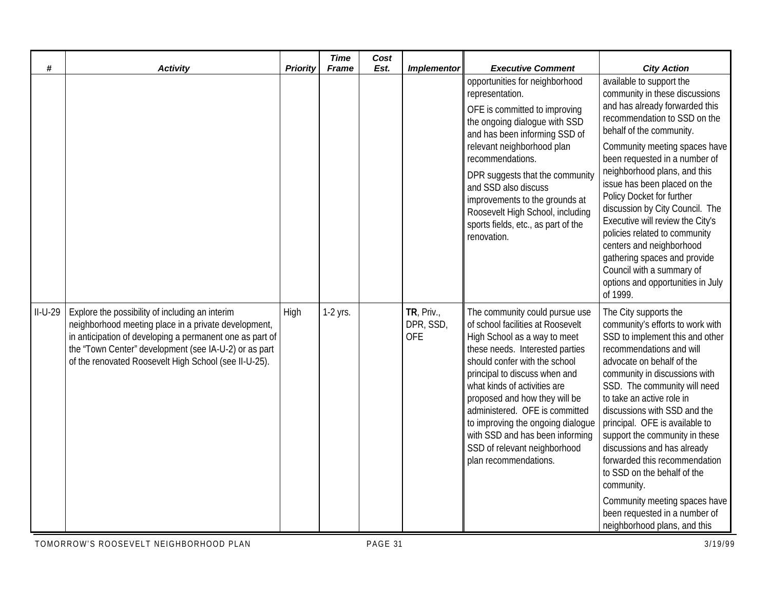| #         | <b>Activity</b>                                                                                                                                                                                                                                                                       | <b>Priority</b> | <b>Time</b><br><b>Frame</b> | Cost<br>Est. | <b>Implementor</b>                    | <b>Executive Comment</b>                                                                                                                                                                                                                                                                                                                                                                                                                     | <b>City Action</b>                                                                                                                                                                                                                                                                                                                                                                                                                                                                                                                                                        |
|-----------|---------------------------------------------------------------------------------------------------------------------------------------------------------------------------------------------------------------------------------------------------------------------------------------|-----------------|-----------------------------|--------------|---------------------------------------|----------------------------------------------------------------------------------------------------------------------------------------------------------------------------------------------------------------------------------------------------------------------------------------------------------------------------------------------------------------------------------------------------------------------------------------------|---------------------------------------------------------------------------------------------------------------------------------------------------------------------------------------------------------------------------------------------------------------------------------------------------------------------------------------------------------------------------------------------------------------------------------------------------------------------------------------------------------------------------------------------------------------------------|
|           |                                                                                                                                                                                                                                                                                       |                 |                             |              |                                       | opportunities for neighborhood<br>representation.<br>OFE is committed to improving<br>the ongoing dialogue with SSD<br>and has been informing SSD of<br>relevant neighborhood plan<br>recommendations.<br>DPR suggests that the community<br>and SSD also discuss<br>improvements to the grounds at<br>Roosevelt High School, including<br>sports fields, etc., as part of the<br>renovation.                                                | available to support the<br>community in these discussions<br>and has already forwarded this<br>recommendation to SSD on the<br>behalf of the community.<br>Community meeting spaces have<br>been requested in a number of<br>neighborhood plans, and this<br>issue has been placed on the<br>Policy Docket for further<br>discussion by City Council. The<br>Executive will review the City's<br>policies related to community<br>centers and neighborhood<br>gathering spaces and provide<br>Council with a summary of<br>options and opportunities in July<br>of 1999. |
| $II-U-29$ | Explore the possibility of including an interim<br>neighborhood meeting place in a private development,<br>in anticipation of developing a permanent one as part of<br>the "Town Center" development (see IA-U-2) or as part<br>of the renovated Roosevelt High School (see II-U-25). | High            | $1-2$ yrs.                  |              | TR, Priv.,<br>DPR, SSD,<br><b>OFE</b> | The community could pursue use<br>of school facilities at Roosevelt<br>High School as a way to meet<br>these needs. Interested parties<br>should confer with the school<br>principal to discuss when and<br>what kinds of activities are<br>proposed and how they will be<br>administered. OFE is committed<br>to improving the ongoing dialogue<br>with SSD and has been informing<br>SSD of relevant neighborhood<br>plan recommendations. | The City supports the<br>community's efforts to work with<br>SSD to implement this and other<br>recommendations and will<br>advocate on behalf of the<br>community in discussions with<br>SSD. The community will need<br>to take an active role in<br>discussions with SSD and the<br>principal. OFE is available to<br>support the community in these<br>discussions and has already<br>forwarded this recommendation<br>to SSD on the behalf of the<br>community.<br>Community meeting spaces have<br>been requested in a number of<br>neighborhood plans, and this    |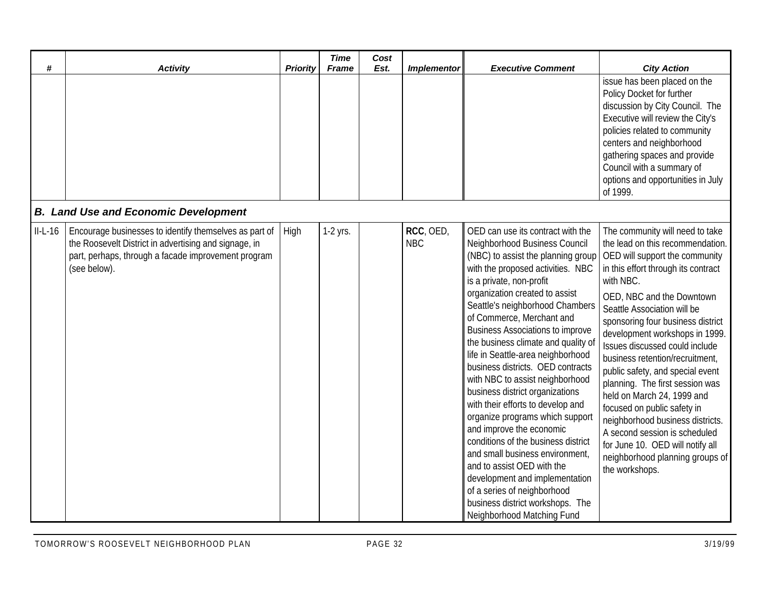| #         | <b>Activity</b>                                                                                                                                                                        | <b>Priority</b> | <b>Time</b><br><b>Frame</b> | Cost<br>Est. | <b>Implementor</b>      | <b>Executive Comment</b>                                                                                                                                                                                                                                                                                                                                                                                                                                                                                                                                                                                                                                                                                                                                                                                                                                     | <b>City Action</b>                                                                                                                                                                                                                                                                                                                                                                                                                                                                                                                                                                                                                                                  |
|-----------|----------------------------------------------------------------------------------------------------------------------------------------------------------------------------------------|-----------------|-----------------------------|--------------|-------------------------|--------------------------------------------------------------------------------------------------------------------------------------------------------------------------------------------------------------------------------------------------------------------------------------------------------------------------------------------------------------------------------------------------------------------------------------------------------------------------------------------------------------------------------------------------------------------------------------------------------------------------------------------------------------------------------------------------------------------------------------------------------------------------------------------------------------------------------------------------------------|---------------------------------------------------------------------------------------------------------------------------------------------------------------------------------------------------------------------------------------------------------------------------------------------------------------------------------------------------------------------------------------------------------------------------------------------------------------------------------------------------------------------------------------------------------------------------------------------------------------------------------------------------------------------|
|           |                                                                                                                                                                                        |                 |                             |              |                         |                                                                                                                                                                                                                                                                                                                                                                                                                                                                                                                                                                                                                                                                                                                                                                                                                                                              | issue has been placed on the<br>Policy Docket for further<br>discussion by City Council. The<br>Executive will review the City's<br>policies related to community<br>centers and neighborhood<br>gathering spaces and provide<br>Council with a summary of<br>options and opportunities in July<br>of 1999.                                                                                                                                                                                                                                                                                                                                                         |
|           | <b>B. Land Use and Economic Development</b>                                                                                                                                            |                 |                             |              |                         |                                                                                                                                                                                                                                                                                                                                                                                                                                                                                                                                                                                                                                                                                                                                                                                                                                                              |                                                                                                                                                                                                                                                                                                                                                                                                                                                                                                                                                                                                                                                                     |
| $II-L-16$ | Encourage businesses to identify themselves as part of<br>the Roosevelt District in advertising and signage, in<br>part, perhaps, through a facade improvement program<br>(see below). | High            | 1-2 yrs.                    |              | RCC, OED,<br><b>NBC</b> | OED can use its contract with the<br>Neighborhood Business Council<br>(NBC) to assist the planning group<br>with the proposed activities. NBC<br>is a private, non-profit<br>organization created to assist<br>Seattle's neighborhood Chambers<br>of Commerce, Merchant and<br><b>Business Associations to improve</b><br>the business climate and quality of<br>life in Seattle-area neighborhood<br>business districts. OED contracts<br>with NBC to assist neighborhood<br>business district organizations<br>with their efforts to develop and<br>organize programs which support<br>and improve the economic<br>conditions of the business district<br>and small business environment,<br>and to assist OED with the<br>development and implementation<br>of a series of neighborhood<br>business district workshops. The<br>Neighborhood Matching Fund | The community will need to take<br>the lead on this recommendation.<br>OED will support the community<br>in this effort through its contract<br>with NBC.<br>OED, NBC and the Downtown<br>Seattle Association will be<br>sponsoring four business district<br>development workshops in 1999.<br>Issues discussed could include<br>business retention/recruitment,<br>public safety, and special event<br>planning. The first session was<br>held on March 24, 1999 and<br>focused on public safety in<br>neighborhood business districts.<br>A second session is scheduled<br>for June 10. OED will notify all<br>neighborhood planning groups of<br>the workshops. |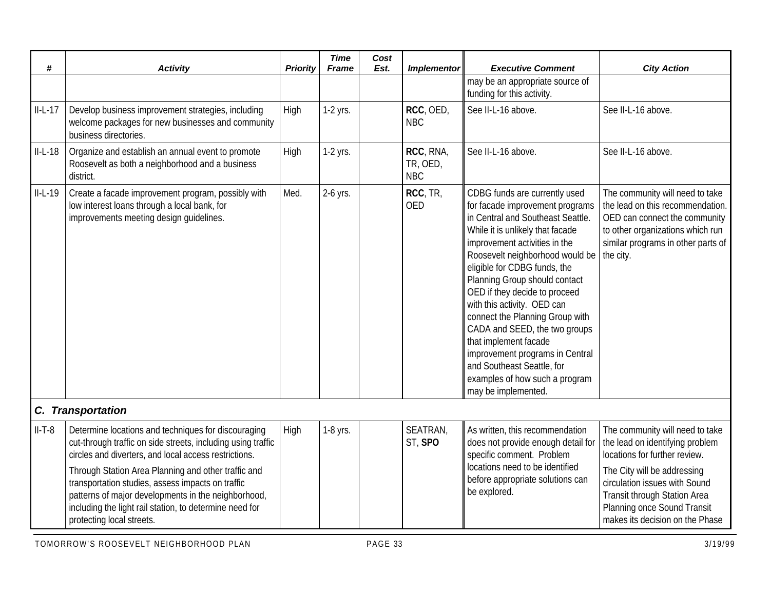| #         | <b>Activity</b>                                                                                                                                                                                                                                                                                                                                                                                                                         | <b>Priority</b> | <b>Time</b><br><b>Frame</b> | Cost<br>Est. | <b>Implementor</b>                  | <b>Executive Comment</b>                                                                                                                                                                                                                                                                                                                                                                                                                                                                                                                                              | <b>City Action</b>                                                                                                                                                                                                                                                    |
|-----------|-----------------------------------------------------------------------------------------------------------------------------------------------------------------------------------------------------------------------------------------------------------------------------------------------------------------------------------------------------------------------------------------------------------------------------------------|-----------------|-----------------------------|--------------|-------------------------------------|-----------------------------------------------------------------------------------------------------------------------------------------------------------------------------------------------------------------------------------------------------------------------------------------------------------------------------------------------------------------------------------------------------------------------------------------------------------------------------------------------------------------------------------------------------------------------|-----------------------------------------------------------------------------------------------------------------------------------------------------------------------------------------------------------------------------------------------------------------------|
|           |                                                                                                                                                                                                                                                                                                                                                                                                                                         |                 |                             |              |                                     | may be an appropriate source of<br>funding for this activity.                                                                                                                                                                                                                                                                                                                                                                                                                                                                                                         |                                                                                                                                                                                                                                                                       |
| $II-L-17$ | Develop business improvement strategies, including<br>welcome packages for new businesses and community<br>business directories.                                                                                                                                                                                                                                                                                                        | High            | 1-2 yrs.                    |              | RCC, OED,<br><b>NBC</b>             | See II-L-16 above.                                                                                                                                                                                                                                                                                                                                                                                                                                                                                                                                                    | See II-L-16 above.                                                                                                                                                                                                                                                    |
| $II-L-18$ | Organize and establish an annual event to promote<br>Roosevelt as both a neighborhood and a business<br>district.                                                                                                                                                                                                                                                                                                                       | High            | 1-2 yrs.                    |              | RCC, RNA,<br>TR, OED,<br><b>NBC</b> | See II-L-16 above.                                                                                                                                                                                                                                                                                                                                                                                                                                                                                                                                                    | See II-L-16 above.                                                                                                                                                                                                                                                    |
| $II-L-19$ | Create a facade improvement program, possibly with<br>low interest loans through a local bank, for<br>improvements meeting design guidelines.                                                                                                                                                                                                                                                                                           | Med.            | 2-6 yrs.                    |              | RCC, TR,<br><b>OED</b>              | CDBG funds are currently used<br>for facade improvement programs<br>in Central and Southeast Seattle.<br>While it is unlikely that facade<br>improvement activities in the<br>Roosevelt neighborhood would be<br>eligible for CDBG funds, the<br>Planning Group should contact<br>OED if they decide to proceed<br>with this activity. OED can<br>connect the Planning Group with<br>CADA and SEED, the two groups<br>that implement facade<br>improvement programs in Central<br>and Southeast Seattle, for<br>examples of how such a program<br>may be implemented. | The community will need to take<br>the lead on this recommendation.<br>OED can connect the community<br>to other organizations which run<br>similar programs in other parts of<br>the city.                                                                           |
|           | C. Transportation                                                                                                                                                                                                                                                                                                                                                                                                                       |                 |                             |              |                                     |                                                                                                                                                                                                                                                                                                                                                                                                                                                                                                                                                                       |                                                                                                                                                                                                                                                                       |
| $II-T-8$  | Determine locations and techniques for discouraging<br>cut-through traffic on side streets, including using traffic<br>circles and diverters, and local access restrictions.<br>Through Station Area Planning and other traffic and<br>transportation studies, assess impacts on traffic<br>patterns of major developments in the neighborhood,<br>including the light rail station, to determine need for<br>protecting local streets. | High            | 1-8 yrs.                    |              | SEATRAN,<br>ST, SPO                 | As written, this recommendation<br>does not provide enough detail for<br>specific comment. Problem<br>locations need to be identified<br>before appropriate solutions can<br>be explored.                                                                                                                                                                                                                                                                                                                                                                             | The community will need to take<br>the lead on identifying problem<br>locations for further review.<br>The City will be addressing<br>circulation issues with Sound<br>Transit through Station Area<br>Planning once Sound Transit<br>makes its decision on the Phase |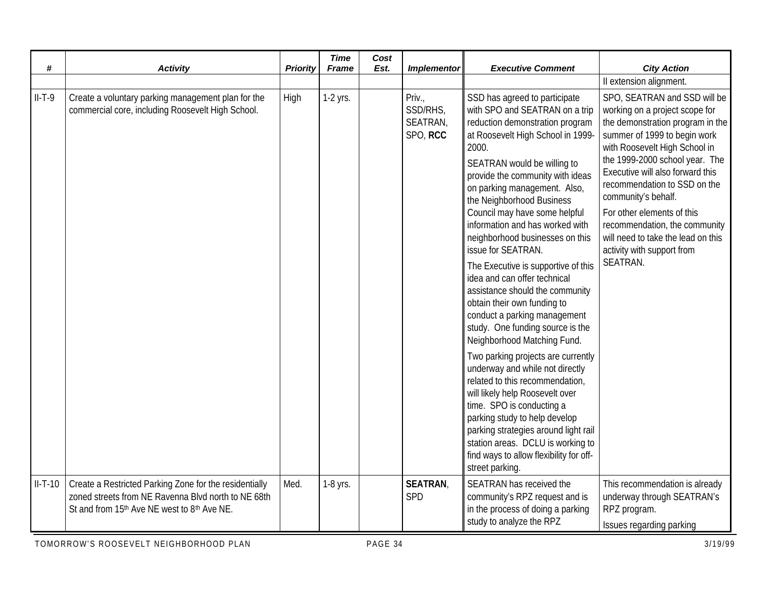| #         | <b>Activity</b>                                                                                                                                              | Priority | <b>Time</b><br><b>Frame</b> | Cost<br>Est. | <b>Implementor</b>                                                                                                                                                                                                                                                                                                                                   | <b>Executive Comment</b>                                                                                                                                                                                                                                                                                                                                                                                                                                                                                                                                                                                                                                  | <b>City Action</b>                                                                                                                                                                                                                                                                                                                                                                                                                              |
|-----------|--------------------------------------------------------------------------------------------------------------------------------------------------------------|----------|-----------------------------|--------------|------------------------------------------------------------------------------------------------------------------------------------------------------------------------------------------------------------------------------------------------------------------------------------------------------------------------------------------------------|-----------------------------------------------------------------------------------------------------------------------------------------------------------------------------------------------------------------------------------------------------------------------------------------------------------------------------------------------------------------------------------------------------------------------------------------------------------------------------------------------------------------------------------------------------------------------------------------------------------------------------------------------------------|-------------------------------------------------------------------------------------------------------------------------------------------------------------------------------------------------------------------------------------------------------------------------------------------------------------------------------------------------------------------------------------------------------------------------------------------------|
|           |                                                                                                                                                              |          |                             |              |                                                                                                                                                                                                                                                                                                                                                      |                                                                                                                                                                                                                                                                                                                                                                                                                                                                                                                                                                                                                                                           | Il extension alignment.                                                                                                                                                                                                                                                                                                                                                                                                                         |
| $II-T-9$  | Create a voluntary parking management plan for the<br>commercial core, including Roosevelt High School.                                                      | High     | 1-2 yrs.                    |              | Priv.,<br>SSD/RHS,<br>SEATRAN,<br>SPO, RCC                                                                                                                                                                                                                                                                                                           | SSD has agreed to participate<br>with SPO and SEATRAN on a trip<br>reduction demonstration program<br>at Roosevelt High School in 1999-<br>2000.<br>SEATRAN would be willing to<br>provide the community with ideas<br>on parking management. Also,<br>the Neighborhood Business<br>Council may have some helpful<br>information and has worked with<br>neighborhood businesses on this<br>issue for SEATRAN.<br>The Executive is supportive of this<br>idea and can offer technical<br>assistance should the community<br>obtain their own funding to<br>conduct a parking management<br>study. One funding source is the<br>Neighborhood Matching Fund. | SPO, SEATRAN and SSD will be<br>working on a project scope for<br>the demonstration program in the<br>summer of 1999 to begin work<br>with Roosevelt High School in<br>the 1999-2000 school year. The<br>Executive will also forward this<br>recommendation to SSD on the<br>community's behalf.<br>For other elements of this<br>recommendation, the community<br>will need to take the lead on this<br>activity with support from<br>SEATRAN. |
|           |                                                                                                                                                              |          |                             |              | Two parking projects are currently<br>underway and while not directly<br>related to this recommendation,<br>will likely help Roosevelt over<br>time. SPO is conducting a<br>parking study to help develop<br>parking strategies around light rail<br>station areas. DCLU is working to<br>find ways to allow flexibility for off-<br>street parking. |                                                                                                                                                                                                                                                                                                                                                                                                                                                                                                                                                                                                                                                           |                                                                                                                                                                                                                                                                                                                                                                                                                                                 |
| $II-T-10$ | Create a Restricted Parking Zone for the residentially<br>zoned streets from NE Ravenna Blvd north to NE 68th<br>St and from 15th Ave NE west to 8th Ave NE. | Med.     | 1-8 yrs.                    |              | <b>SEATRAN,</b><br>SPD                                                                                                                                                                                                                                                                                                                               | SEATRAN has received the<br>community's RPZ request and is<br>in the process of doing a parking<br>study to analyze the RPZ                                                                                                                                                                                                                                                                                                                                                                                                                                                                                                                               | This recommendation is already<br>underway through SEATRAN's<br>RPZ program.<br>Issues regarding parking                                                                                                                                                                                                                                                                                                                                        |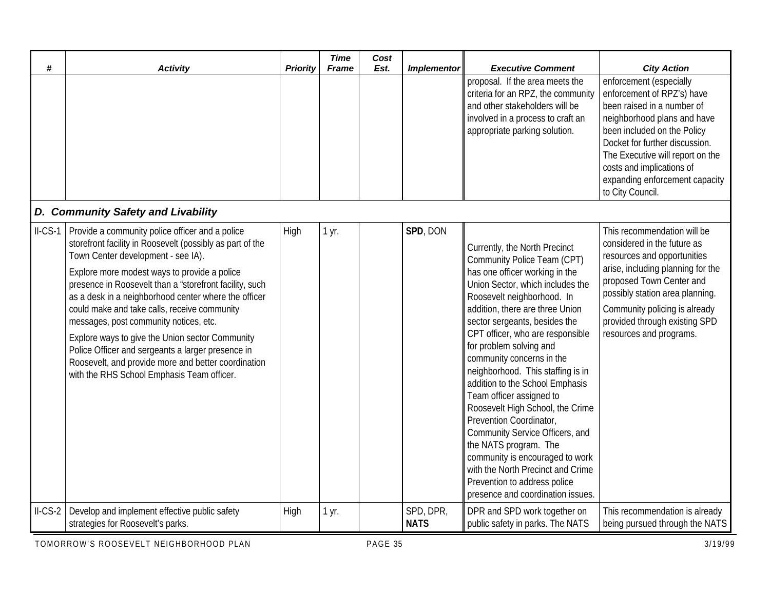| #        | <b>Activity</b>                                                                                                                                                                                                                                                                                                                                                                                                                                                                                                                                                                                                              | <b>Priority</b> | <b>Time</b><br><b>Frame</b> | Cost<br>Est. | <b>Implementor</b>       | <b>Executive Comment</b>                                                                                                                                                                                                                                                                                                                                                                                                                                                                                                                                                                                                                                                                                     | <b>City Action</b>                                                                                                                                                                                                                                                                                         |
|----------|------------------------------------------------------------------------------------------------------------------------------------------------------------------------------------------------------------------------------------------------------------------------------------------------------------------------------------------------------------------------------------------------------------------------------------------------------------------------------------------------------------------------------------------------------------------------------------------------------------------------------|-----------------|-----------------------------|--------------|--------------------------|--------------------------------------------------------------------------------------------------------------------------------------------------------------------------------------------------------------------------------------------------------------------------------------------------------------------------------------------------------------------------------------------------------------------------------------------------------------------------------------------------------------------------------------------------------------------------------------------------------------------------------------------------------------------------------------------------------------|------------------------------------------------------------------------------------------------------------------------------------------------------------------------------------------------------------------------------------------------------------------------------------------------------------|
|          |                                                                                                                                                                                                                                                                                                                                                                                                                                                                                                                                                                                                                              |                 |                             |              |                          | proposal. If the area meets the<br>criteria for an RPZ, the community<br>and other stakeholders will be<br>involved in a process to craft an<br>appropriate parking solution.                                                                                                                                                                                                                                                                                                                                                                                                                                                                                                                                | enforcement (especially<br>enforcement of RPZ's) have<br>been raised in a number of<br>neighborhood plans and have<br>been included on the Policy<br>Docket for further discussion.<br>The Executive will report on the<br>costs and implications of<br>expanding enforcement capacity<br>to City Council. |
|          | D. Community Safety and Livability                                                                                                                                                                                                                                                                                                                                                                                                                                                                                                                                                                                           |                 |                             |              |                          |                                                                                                                                                                                                                                                                                                                                                                                                                                                                                                                                                                                                                                                                                                              |                                                                                                                                                                                                                                                                                                            |
| $ILCS-1$ | Provide a community police officer and a police<br>storefront facility in Roosevelt (possibly as part of the<br>Town Center development - see IA).<br>Explore more modest ways to provide a police<br>presence in Roosevelt than a "storefront facility, such<br>as a desk in a neighborhood center where the officer<br>could make and take calls, receive community<br>messages, post community notices, etc.<br>Explore ways to give the Union sector Community<br>Police Officer and sergeants a larger presence in<br>Roosevelt, and provide more and better coordination<br>with the RHS School Emphasis Team officer. | High            | 1 yr.                       |              | SPD, DON                 | Currently, the North Precinct<br>Community Police Team (CPT)<br>has one officer working in the<br>Union Sector, which includes the<br>Roosevelt neighborhood. In<br>addition, there are three Union<br>sector sergeants, besides the<br>CPT officer, who are responsible<br>for problem solving and<br>community concerns in the<br>neighborhood. This staffing is in<br>addition to the School Emphasis<br>Team officer assigned to<br>Roosevelt High School, the Crime<br>Prevention Coordinator,<br>Community Service Officers, and<br>the NATS program. The<br>community is encouraged to work<br>with the North Precinct and Crime<br>Prevention to address police<br>presence and coordination issues. | This recommendation will be<br>considered in the future as<br>resources and opportunities<br>arise, including planning for the<br>proposed Town Center and<br>possibly station area planning.<br>Community policing is already<br>provided through existing SPD<br>resources and programs.                 |
| $ILCS-2$ | Develop and implement effective public safety<br>strategies for Roosevelt's parks.                                                                                                                                                                                                                                                                                                                                                                                                                                                                                                                                           | High            | 1 yr.                       |              | SPD, DPR,<br><b>NATS</b> | DPR and SPD work together on<br>public safety in parks. The NATS                                                                                                                                                                                                                                                                                                                                                                                                                                                                                                                                                                                                                                             | This recommendation is already<br>being pursued through the NATS                                                                                                                                                                                                                                           |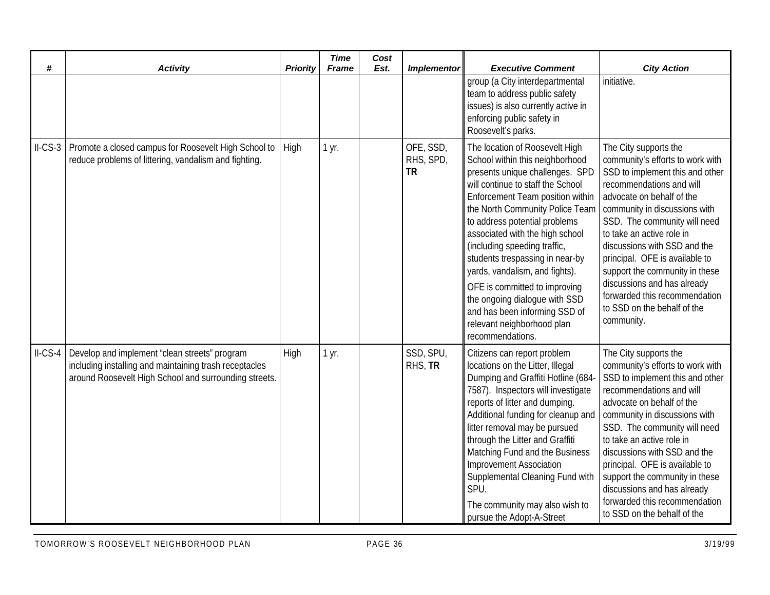| #        | <b>Activity</b>                                                                                                                                                  | <b>Priority</b> | <b>Time</b><br><b>Frame</b> | Cost<br>Est. | <b>Implementor</b>                  | <b>Executive Comment</b>                                                                                                                                                                                                                                                                                                                                                                                                                                                                                                                       | <b>City Action</b>                                                                                                                                                                                                                                                                                                                                                                                                                                                   |
|----------|------------------------------------------------------------------------------------------------------------------------------------------------------------------|-----------------|-----------------------------|--------------|-------------------------------------|------------------------------------------------------------------------------------------------------------------------------------------------------------------------------------------------------------------------------------------------------------------------------------------------------------------------------------------------------------------------------------------------------------------------------------------------------------------------------------------------------------------------------------------------|----------------------------------------------------------------------------------------------------------------------------------------------------------------------------------------------------------------------------------------------------------------------------------------------------------------------------------------------------------------------------------------------------------------------------------------------------------------------|
|          |                                                                                                                                                                  |                 |                             |              |                                     | group (a City interdepartmental<br>team to address public safety<br>issues) is also currently active in<br>enforcing public safety in<br>Roosevelt's parks.                                                                                                                                                                                                                                                                                                                                                                                    | initiative.                                                                                                                                                                                                                                                                                                                                                                                                                                                          |
| $ILCS-3$ | Promote a closed campus for Roosevelt High School to<br>reduce problems of littering, vandalism and fighting.                                                    | High            | 1 yr.                       |              | OFE, SSD,<br>RHS, SPD,<br><b>TR</b> | The location of Roosevelt High<br>School within this neighborhood<br>presents unique challenges. SPD<br>will continue to staff the School<br>Enforcement Team position within<br>the North Community Police Team<br>to address potential problems<br>associated with the high school<br>(including speeding traffic,<br>students trespassing in near-by<br>yards, vandalism, and fights).<br>OFE is committed to improving<br>the ongoing dialogue with SSD<br>and has been informing SSD of<br>relevant neighborhood plan<br>recommendations. | The City supports the<br>community's efforts to work with<br>SSD to implement this and other<br>recommendations and will<br>advocate on behalf of the<br>community in discussions with<br>SSD. The community will need<br>to take an active role in<br>discussions with SSD and the<br>principal. OFE is available to<br>support the community in these<br>discussions and has already<br>forwarded this recommendation<br>to SSD on the behalf of the<br>community. |
| $ILCS-4$ | Develop and implement "clean streets" program<br>including installing and maintaining trash receptacles<br>around Roosevelt High School and surrounding streets. | High            | 1 yr.                       |              | SSD, SPU,<br>RHS, TR                | Citizens can report problem<br>locations on the Litter, Illegal<br>Dumping and Graffiti Hotline (684-<br>7587). Inspectors will investigate<br>reports of litter and dumping.<br>Additional funding for cleanup and<br>litter removal may be pursued<br>through the Litter and Graffiti<br>Matching Fund and the Business<br><b>Improvement Association</b><br>Supplemental Cleaning Fund with<br>SPU.<br>The community may also wish to<br>pursue the Adopt-A-Street                                                                          | The City supports the<br>community's efforts to work with<br>SSD to implement this and other<br>recommendations and will<br>advocate on behalf of the<br>community in discussions with<br>SSD. The community will need<br>to take an active role in<br>discussions with SSD and the<br>principal. OFE is available to<br>support the community in these<br>discussions and has already<br>forwarded this recommendation<br>to SSD on the behalf of the               |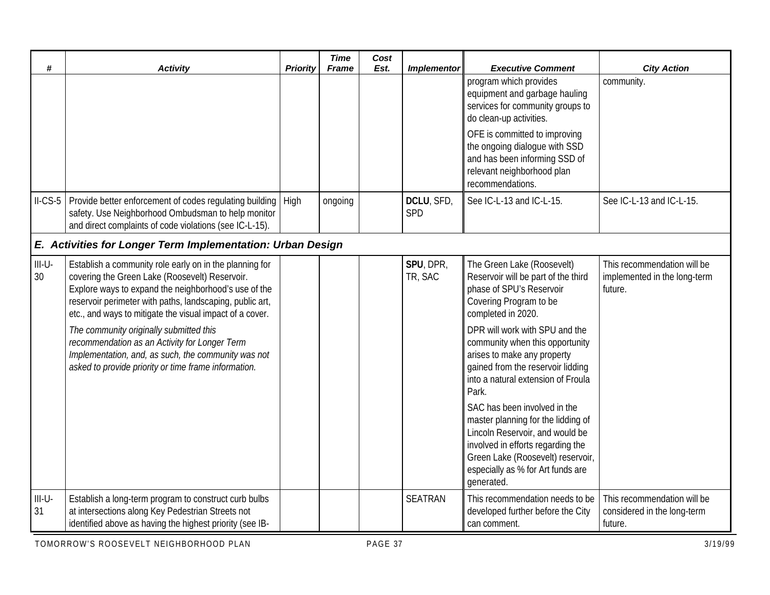| #              | <b>Activity</b>                                                                                                                                                                                                                                                                                                                                                                                                                                                                                      | <b>Priority</b> | <b>Time</b><br><b>Frame</b> | Cost<br>Est. | <b>Implementor</b>   | <b>Executive Comment</b>                                                                                                                                                                                                                                                                                                                                                                                                                                                                                                                                                    | <b>City Action</b>                                                     |
|----------------|------------------------------------------------------------------------------------------------------------------------------------------------------------------------------------------------------------------------------------------------------------------------------------------------------------------------------------------------------------------------------------------------------------------------------------------------------------------------------------------------------|-----------------|-----------------------------|--------------|----------------------|-----------------------------------------------------------------------------------------------------------------------------------------------------------------------------------------------------------------------------------------------------------------------------------------------------------------------------------------------------------------------------------------------------------------------------------------------------------------------------------------------------------------------------------------------------------------------------|------------------------------------------------------------------------|
|                |                                                                                                                                                                                                                                                                                                                                                                                                                                                                                                      |                 |                             |              |                      | program which provides<br>equipment and garbage hauling<br>services for community groups to<br>do clean-up activities.                                                                                                                                                                                                                                                                                                                                                                                                                                                      | community.                                                             |
|                |                                                                                                                                                                                                                                                                                                                                                                                                                                                                                                      |                 |                             |              |                      | OFE is committed to improving<br>the ongoing dialogue with SSD<br>and has been informing SSD of<br>relevant neighborhood plan<br>recommendations.                                                                                                                                                                                                                                                                                                                                                                                                                           |                                                                        |
| $ILCS-5$       | Provide better enforcement of codes regulating building<br>safety. Use Neighborhood Ombudsman to help monitor<br>and direct complaints of code violations (see IC-L-15).                                                                                                                                                                                                                                                                                                                             | High            | ongoing                     |              | DCLU, SFD,<br>SPD    | See IC-L-13 and IC-L-15.                                                                                                                                                                                                                                                                                                                                                                                                                                                                                                                                                    | See IC-L-13 and IC-L-15.                                               |
|                | E. Activities for Longer Term Implementation: Urban Design                                                                                                                                                                                                                                                                                                                                                                                                                                           |                 |                             |              |                      |                                                                                                                                                                                                                                                                                                                                                                                                                                                                                                                                                                             |                                                                        |
| $III-U-$<br>30 | Establish a community role early on in the planning for<br>covering the Green Lake (Roosevelt) Reservoir.<br>Explore ways to expand the neighborhood's use of the<br>reservoir perimeter with paths, landscaping, public art,<br>etc., and ways to mitigate the visual impact of a cover.<br>The community originally submitted this<br>recommendation as an Activity for Longer Term<br>Implementation, and, as such, the community was not<br>asked to provide priority or time frame information. |                 |                             |              | SPU, DPR,<br>TR, SAC | The Green Lake (Roosevelt)<br>Reservoir will be part of the third<br>phase of SPU's Reservoir<br>Covering Program to be<br>completed in 2020.<br>DPR will work with SPU and the<br>community when this opportunity<br>arises to make any property<br>gained from the reservoir lidding<br>into a natural extension of Froula<br>Park.<br>SAC has been involved in the<br>master planning for the lidding of<br>Lincoln Reservoir, and would be<br>involved in efforts regarding the<br>Green Lake (Roosevelt) reservoir,<br>especially as % for Art funds are<br>generated. | This recommendation will be<br>implemented in the long-term<br>future. |
| $III-U-$<br>31 | Establish a long-term program to construct curb bulbs<br>at intersections along Key Pedestrian Streets not<br>identified above as having the highest priority (see IB-                                                                                                                                                                                                                                                                                                                               |                 |                             |              | <b>SEATRAN</b>       | This recommendation needs to be<br>developed further before the City<br>can comment.                                                                                                                                                                                                                                                                                                                                                                                                                                                                                        | This recommendation will be<br>considered in the long-term<br>future.  |